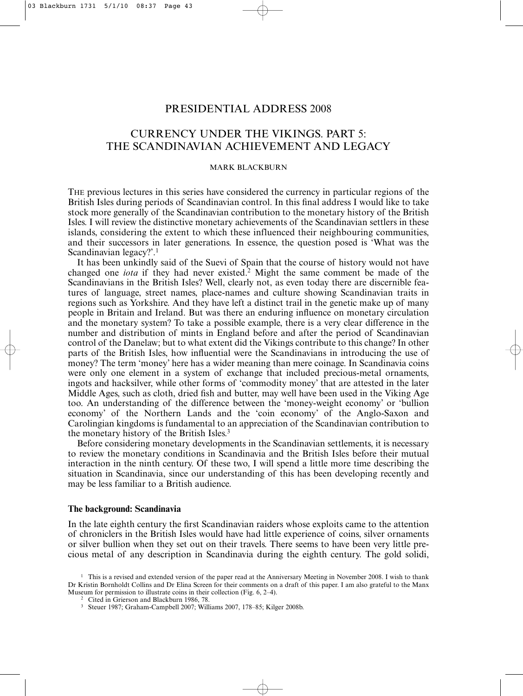## PRESIDENTIAL ADDRESS 2008

# CURRENCY UNDER THE VIKINGS. PART 5: THE SCANDINAVIAN ACHIEVEMENT AND LEGACY

## MARK BLACKBURN

THE previous lectures in this series have considered the currency in particular regions of the British Isles during periods of Scandinavian control. In this final address I would like to take stock more generally of the Scandinavian contribution to the monetary history of the British Isles. I will review the distinctive monetary achievements of the Scandinavian settlers in these islands, considering the extent to which these influenced their neighbouring communities, and their successors in later generations. In essence, the question posed is 'What was the Scandinavian legacy?'.1

It has been unkindly said of the Suevi of Spain that the course of history would not have changed one *iota* if they had never existed.2 Might the same comment be made of the Scandinavians in the British Isles? Well, clearly not, as even today there are discernible features of language, street names, place-names and culture showing Scandinavian traits in regions such as Yorkshire. And they have left a distinct trail in the genetic make up of many people in Britain and Ireland. But was there an enduring influence on monetary circulation and the monetary system? To take a possible example, there is a very clear difference in the number and distribution of mints in England before and after the period of Scandinavian control of the Danelaw; but to what extent did the Vikings contribute to this change? In other parts of the British Isles, how influential were the Scandinavians in introducing the use of money? The term 'money' here has a wider meaning than mere coinage. In Scandinavia coins were only one element in a system of exchange that included precious-metal ornaments, ingots and hacksilver, while other forms of 'commodity money' that are attested in the later Middle Ages, such as cloth, dried fish and butter, may well have been used in the Viking Age too. An understanding of the difference between the 'money-weight economy' or 'bullion economy' of the Northern Lands and the 'coin economy' of the Anglo-Saxon and Carolingian kingdoms is fundamental to an appreciation of the Scandinavian contribution to the monetary history of the British Isles.3

Before considering monetary developments in the Scandinavian settlements, it is necessary to review the monetary conditions in Scandinavia and the British Isles before their mutual interaction in the ninth century. Of these two, I will spend a little more time describing the situation in Scandinavia, since our understanding of this has been developing recently and may be less familiar to a British audience.

## **The background: Scandinavia**

In the late eighth century the first Scandinavian raiders whose exploits came to the attention of chroniclers in the British Isles would have had little experience of coins, silver ornaments or silver bullion when they set out on their travels. There seems to have been very little precious metal of any description in Scandinavia during the eighth century. The gold solidi,

<sup>&</sup>lt;sup>1</sup> This is a revised and extended version of the paper read at the Anniversary Meeting in November 2008. I wish to thank Dr Kristin Bornholdt Collins and Dr Elina Screen for their comments on a draft of this paper. I am also grateful to the Manx Museum for permission to illustrate coins in their collection (Fig. 6, 2–4).

<sup>&</sup>lt;sup>2</sup> Cited in Grierson and Blackburn 1986, 78.

<sup>3</sup> Steuer 1987; Graham-Campbell 2007; Williams 2007, 178–85; Kilger 2008b.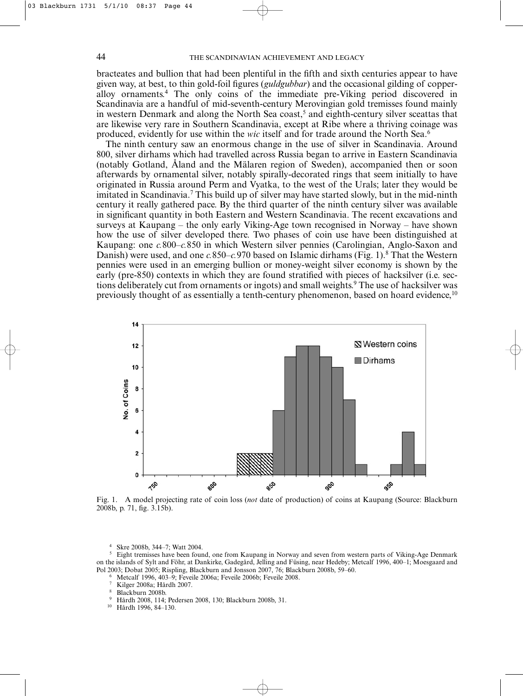bracteates and bullion that had been plentiful in the fifth and sixth centuries appear to have given way, at best, to thin gold-foil figures (*guldgubbar*) and the occasional gilding of copperalloy ornaments.4 The only coins of the immediate pre-Viking period discovered in Scandinavia are a handful of mid-seventh-century Merovingian gold tremisses found mainly in western Denmark and along the North Sea coast,<sup>5</sup> and eighth-century silver sceattas that are likewise very rare in Southern Scandinavia, except at Ribe where a thriving coinage was produced, evidently for use within the *wic* itself and for trade around the North Sea.6

The ninth century saw an enormous change in the use of silver in Scandinavia. Around 800, silver dirhams which had travelled across Russia began to arrive in Eastern Scandinavia (notably Gotland, Åland and the Mälaren region of Sweden), accompanied then or soon afterwards by ornamental silver, notably spirally-decorated rings that seem initially to have originated in Russia around Perm and Vyatka, to the west of the Urals; later they would be imitated in Scandinavia.<sup>7</sup> This build up of silver may have started slowly, but in the mid-ninth century it really gathered pace. By the third quarter of the ninth century silver was available in significant quantity in both Eastern and Western Scandinavia. The recent excavations and surveys at Kaupang – the only early Viking-Age town recognised in Norway – have shown how the use of silver developed there. Two phases of coin use have been distinguished at Kaupang: one *c.*800–*c.*850 in which Western silver pennies (Carolingian, Anglo-Saxon and Danish) were used, and one *c.*850–*c.*970 based on Islamic dirhams (Fig. 1).8 That the Western pennies were used in an emerging bullion or money-weight silver economy is shown by the early (pre-850) contexts in which they are found stratified with pieces of hacksilver (i.e. sections deliberately cut from ornaments or ingots) and small weights.<sup>9</sup> The use of hacksilver was previously thought of as essentially a tenth-century phenomenon, based on hoard evidence,<sup>10</sup>



Fig. 1. A model projecting rate of coin loss (*not* date of production) of coins at Kaupang (Source: Blackburn 2008b, p. 71, fig. 3.15b).

<sup>4</sup> Skre 2008b, 344–7; Watt 2004.

- <sup>6</sup> Metcalf 1996, 403–9; Feveile 2006a; Feveile 2006b; Feveile 2008.
- <sup>7</sup> Kilger 2008a; Hårdh 2007.
- <sup>8</sup> Blackburn 2008b.
- <sup>9</sup> Hårdh 2008, 114; Pedersen 2008, 130; Blackburn 2008b, 31.<br><sup>10</sup> Hårdh 1996, 84, 130
- Hårdh 1996, 84–130.

<sup>&</sup>lt;sup>5</sup> Eight tremisses have been found, one from Kaupang in Norway and seven from western parts of Viking-Age Denmark on the islands of Sylt and Föhr, at Dankirke, Gadegård, Jelling and Füsing, near Hedeby; Metcalf 1996, 400–1; Moesgaard and Pol 2003; Dobat 2005; Rispling, Blackburn and Jonsson 2007, 76; Blackburn 2008b, 59–60.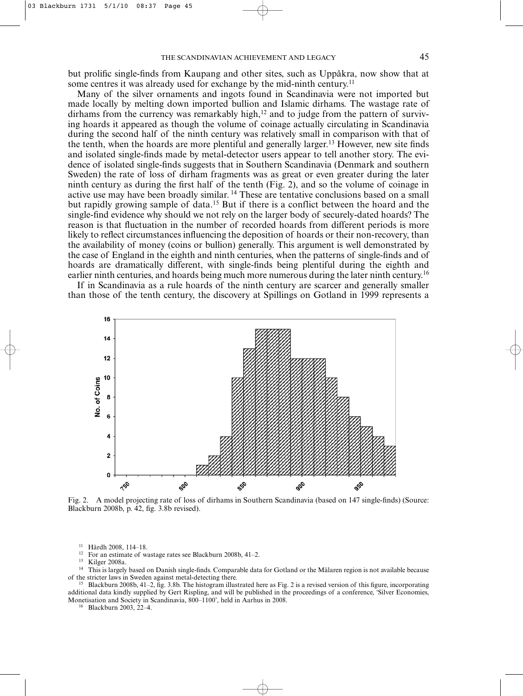but prolific single-finds from Kaupang and other sites, such as Uppåkra, now show that at some centres it was already used for exchange by the mid-ninth century.<sup>11</sup>

Many of the silver ornaments and ingots found in Scandinavia were not imported but made locally by melting down imported bullion and Islamic dirhams. The wastage rate of dirhams from the currency was remarkably high, $12$  and to judge from the pattern of surviving hoards it appeared as though the volume of coinage actually circulating in Scandinavia during the second half of the ninth century was relatively small in comparison with that of the tenth, when the hoards are more plentiful and generally larger.13 However, new site finds and isolated single-finds made by metal-detector users appear to tell another story. The evidence of isolated single-finds suggests that in Southern Scandinavia (Denmark and southern Sweden) the rate of loss of dirham fragments was as great or even greater during the later ninth century as during the first half of the tenth (Fig. 2), and so the volume of coinage in active use may have been broadly similar. <sup>14</sup> These are tentative conclusions based on a small but rapidly growing sample of data.<sup>15</sup> But if there is a conflict between the hoard and the single-find evidence why should we not rely on the larger body of securely-dated hoards? The reason is that fluctuation in the number of recorded hoards from different periods is more likely to reflect circumstances influencing the deposition of hoards or their non-recovery, than the availability of money (coins or bullion) generally. This argument is well demonstrated by the case of England in the eighth and ninth centuries, when the patterns of single-finds and of hoards are dramatically different, with single-finds being plentiful during the eighth and earlier ninth centuries, and hoards being much more numerous during the later ninth century.<sup>16</sup>

If in Scandinavia as a rule hoards of the ninth century are scarcer and generally smaller than those of the tenth century, the discovery at Spillings on Gotland in 1999 represents a



Fig. 2. A model projecting rate of loss of dirhams in Southern Scandinavia (based on 147 single-finds) (Source: Blackburn 2008b, p. 42, fig. 3.8b revised).

<sup>11</sup> Hårdh 2008, 114–18.

<sup>12</sup> For an estimate of wastage rates see Blackburn 2008b, 41–2.<br><sup>13</sup> Kilger 2008b.

Kilger 2008a.

<sup>14</sup> This is largely based on Danish single-finds. Comparable data for Gotland or the Mälaren region is not available because of the stricter laws in Sweden against metal-detecting there.

<sup>15</sup> Blackburn 2008b, 41–2, fig. 3.8b. The histogram illustrated here as Fig. 2 is a revised version of this figure, incorporating additional data kindly supplied by Gert Rispling, and will be published in the proceedings of a conference, 'Silver Economies, Monetisation and Society in Scandinavia, 800–1100', held in Aarhus in 2008.

<sup>16</sup> Blackburn 2003, 22–4.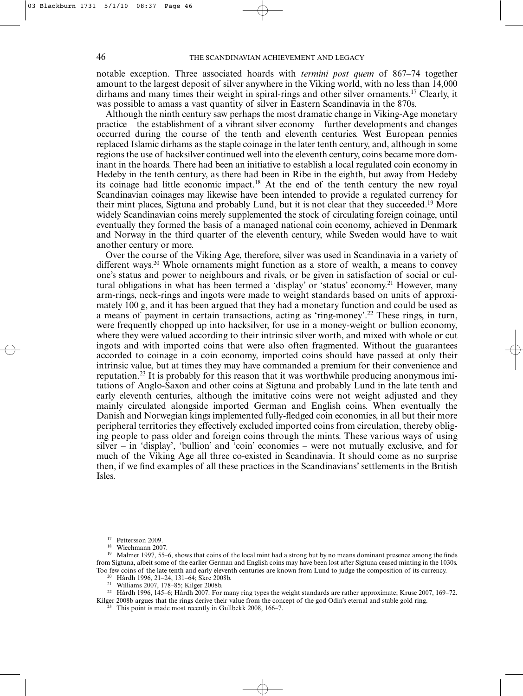notable exception. Three associated hoards with *termini post quem* of 867–74 together amount to the largest deposit of silver anywhere in the Viking world, with no less than 14,000 dirhams and many times their weight in spiral-rings and other silver ornaments.17 Clearly, it was possible to amass a vast quantity of silver in Eastern Scandinavia in the 870s.

Although the ninth century saw perhaps the most dramatic change in Viking-Age monetary practice – the establishment of a vibrant silver economy – further developments and changes occurred during the course of the tenth and eleventh centuries. West European pennies replaced Islamic dirhams as the staple coinage in the later tenth century, and, although in some regions the use of hacksilver continued well into the eleventh century, coins became more dominant in the hoards. There had been an initiative to establish a local regulated coin economy in Hedeby in the tenth century, as there had been in Ribe in the eighth, but away from Hedeby its coinage had little economic impact.18 At the end of the tenth century the new royal Scandinavian coinages may likewise have been intended to provide a regulated currency for their mint places, Sigtuna and probably Lund, but it is not clear that they succeeded.19 More widely Scandinavian coins merely supplemented the stock of circulating foreign coinage, until eventually they formed the basis of a managed national coin economy, achieved in Denmark and Norway in the third quarter of the eleventh century, while Sweden would have to wait another century or more.

Over the course of the Viking Age, therefore, silver was used in Scandinavia in a variety of different ways.<sup>20</sup> Whole ornaments might function as a store of wealth, a means to convey one's status and power to neighbours and rivals, or be given in satisfaction of social or cultural obligations in what has been termed a 'display' or 'status' economy.<sup>21</sup> However, many arm-rings, neck-rings and ingots were made to weight standards based on units of approximately 100 g, and it has been argued that they had a monetary function and could be used as a means of payment in certain transactions, acting as 'ring-money'.22 These rings, in turn, were frequently chopped up into hacksilver, for use in a money-weight or bullion economy, where they were valued according to their intrinsic silver worth, and mixed with whole or cut ingots and with imported coins that were also often fragmented. Without the guarantees accorded to coinage in a coin economy, imported coins should have passed at only their intrinsic value, but at times they may have commanded a premium for their convenience and reputation.23 It is probably for this reason that it was worthwhile producing anonymous imitations of Anglo-Saxon and other coins at Sigtuna and probably Lund in the late tenth and early eleventh centuries, although the imitative coins were not weight adjusted and they mainly circulated alongside imported German and English coins. When eventually the Danish and Norwegian kings implemented fully-fledged coin economies, in all but their more peripheral territories they effectively excluded imported coins from circulation, thereby obliging people to pass older and foreign coins through the mints. These various ways of using silver – in 'display', 'bullion' and 'coin' economies – were not mutually exclusive, and for much of the Viking Age all three co-existed in Scandinavia. It should come as no surprise then, if we find examples of all these practices in the Scandinavians' settlements in the British Isles.

<sup>21</sup> Williams 2007, 178–85; Kilger 2008b.

<sup>22</sup> Hårdh 1996, 145–6; Hårdh 2007. For many ring types the weight standards are rather approximate; Kruse 2007, 169–72. Kilger 2008b argues that the rings derive their value from the concept of the god Odin's eternal and stable gold ring.

This point is made most recently in Gullbekk 2008, 166–7.

<sup>&</sup>lt;sup>17</sup> Pettersson 2009.

Wiechmann 2007.

<sup>19</sup> Malmer 1997, 55–6, shows that coins of the local mint had a strong but by no means dominant presence among the finds from Sigtuna, albeit some of the earlier German and English coins may have been lost after Sigtuna ceased minting in the 1030s. Too few coins of the late tenth and early eleventh centuries are known from Lund to judge the composition of its currency.

<sup>20</sup> Hårdh 1996, 21–24, 131–64; Skre 2008b.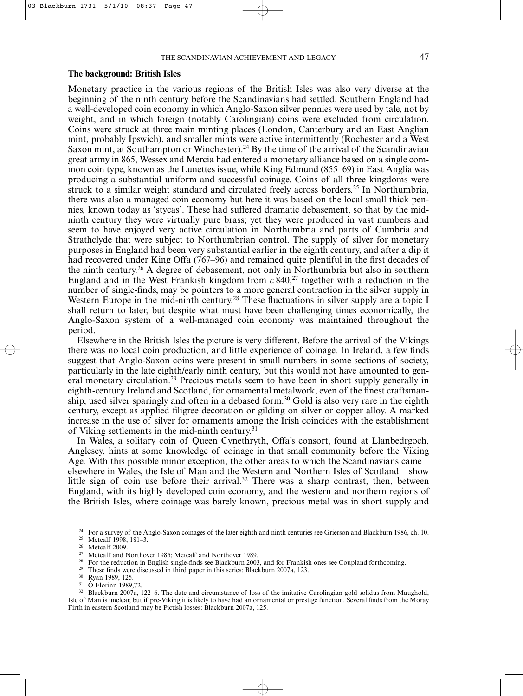## **The background: British Isles**

Monetary practice in the various regions of the British Isles was also very diverse at the beginning of the ninth century before the Scandinavians had settled. Southern England had a well-developed coin economy in which Anglo-Saxon silver pennies were used by tale, not by weight, and in which foreign (notably Carolingian) coins were excluded from circulation. Coins were struck at three main minting places (London, Canterbury and an East Anglian mint, probably Ipswich), and smaller mints were active intermittently (Rochester and a West Saxon mint, at Southampton or Winchester).<sup>24</sup> By the time of the arrival of the Scandinavian great army in 865, Wessex and Mercia had entered a monetary alliance based on a single common coin type, known as the Lunettes issue, while King Edmund (855–69) in East Anglia was producing a substantial uniform and successful coinage. Coins of all three kingdoms were struck to a similar weight standard and circulated freely across borders.<sup>25</sup> In Northumbria, there was also a managed coin economy but here it was based on the local small thick pennies, known today as 'stycas'. These had suffered dramatic debasement, so that by the midninth century they were virtually pure brass; yet they were produced in vast numbers and seem to have enjoyed very active circulation in Northumbria and parts of Cumbria and Strathclyde that were subject to Northumbrian control. The supply of silver for monetary purposes in England had been very substantial earlier in the eighth century, and after a dip it had recovered under King Offa (767–96) and remained quite plentiful in the first decades of the ninth century.26 A degree of debasement, not only in Northumbria but also in southern England and in the West Frankish kingdom from  $c.840$ ,<sup>27</sup> together with a reduction in the number of single-finds, may be pointers to a more general contraction in the silver supply in Western Europe in the mid-ninth century.<sup>28</sup> These fluctuations in silver supply are a topic I shall return to later, but despite what must have been challenging times economically, the Anglo-Saxon system of a well-managed coin economy was maintained throughout the period.

Elsewhere in the British Isles the picture is very different. Before the arrival of the Vikings there was no local coin production, and little experience of coinage. In Ireland, a few finds suggest that Anglo-Saxon coins were present in small numbers in some sections of society, particularly in the late eighth/early ninth century, but this would not have amounted to general monetary circulation.<sup>29</sup> Precious metals seem to have been in short supply generally in eighth-century Ireland and Scotland, for ornamental metalwork, even of the finest craftsmanship, used silver sparingly and often in a debased form.<sup>30</sup> Gold is also very rare in the eighth century, except as applied filigree decoration or gilding on silver or copper alloy. A marked increase in the use of silver for ornaments among the Irish coincides with the establishment of Viking settlements in the mid-ninth century.31

In Wales, a solitary coin of Queen Cynethryth, Offa's consort, found at Llanbedrgoch, Anglesey, hints at some knowledge of coinage in that small community before the Viking Age. With this possible minor exception, the other areas to which the Scandinavians came – elsewhere in Wales, the Isle of Man and the Western and Northern Isles of Scotland – show little sign of coin use before their arrival.<sup>32</sup> There was a sharp contrast, then, between England, with its highly developed coin economy, and the western and northern regions of the British Isles, where coinage was barely known, precious metal was in short supply and

- <sup>28</sup> For the reduction in English single-finds see Blackburn 2003, and for Frankish ones see Coupland forthcoming.<br><sup>29</sup> These finds were discussed in third paper in this series: Plaskburn 2007<sub>0</sub> 123
- <sup>29</sup> These finds were discussed in third paper in this series: Blackburn 2007a, 123.<br><sup>30</sup> Pugn 1080, 125
- $\frac{30}{31}$  Ryan 1989, 125.
- <sup>31</sup> Ó Florinn 1989,72.

<sup>32</sup> Blackburn 2007a, 122–6. The date and circumstance of loss of the imitative Carolingian gold solidus from Maughold, Isle of Man is unclear, but if pre-Viking it is likely to have had an ornamental or prestige function. Several finds from the Moray Firth in eastern Scotland may be Pictish losses: Blackburn 2007a, 125.

<sup>&</sup>lt;sup>24</sup> For a survey of the Anglo-Saxon coinages of the later eighth and ninth centuries see Grierson and Blackburn 1986, ch. 10.<br><sup>25</sup> Motoolf 1008, 181, 2

<sup>&</sup>lt;sup>25</sup> Metcalf 1998, 181–3.<br><sup>26</sup> Meteolf 2000

 $^{26}$  Metcalf 2009.

<sup>&</sup>lt;sup>27</sup> Metcalf and Northover 1985; Metcalf and Northover 1989.<br><sup>28</sup> For the reduction in English single-finds see Blackburn 2002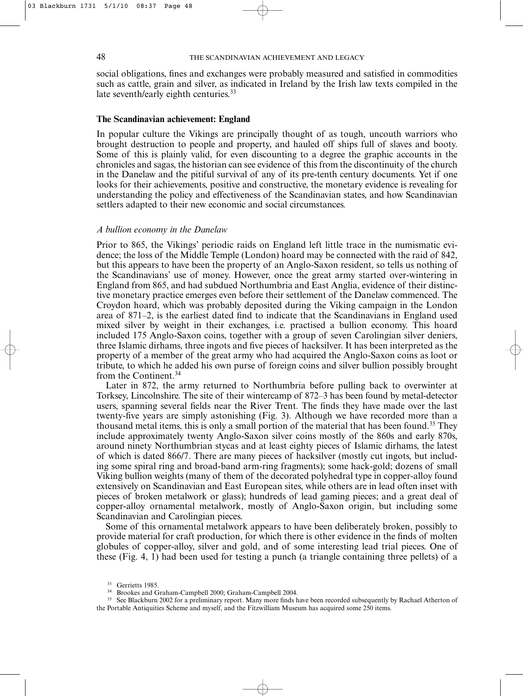social obligations, fines and exchanges were probably measured and satisfied in commodities such as cattle, grain and silver, as indicated in Ireland by the Irish law texts compiled in the late seventh/early eighth centuries.<sup>33</sup>

### **The Scandinavian achievement: England**

In popular culture the Vikings are principally thought of as tough, uncouth warriors who brought destruction to people and property, and hauled off ships full of slaves and booty. Some of this is plainly valid, for even discounting to a degree the graphic accounts in the chronicles and sagas, the historian can see evidence of this from the discontinuity of the church in the Danelaw and the pitiful survival of any of its pre-tenth century documents. Yet if one looks for their achievements, positive and constructive, the monetary evidence is revealing for understanding the policy and effectiveness of the Scandinavian states, and how Scandinavian settlers adapted to their new economic and social circumstances.

### *A bullion economy in the Danelaw*

Prior to 865, the Vikings' periodic raids on England left little trace in the numismatic evidence; the loss of the Middle Temple (London) hoard may be connected with the raid of 842, but this appears to have been the property of an Anglo-Saxon resident, so tells us nothing of the Scandinavians' use of money. However, once the great army started over-wintering in England from 865, and had subdued Northumbria and East Anglia, evidence of their distinctive monetary practice emerges even before their settlement of the Danelaw commenced. The Croydon hoard, which was probably deposited during the Viking campaign in the London area of 871–2, is the earliest dated find to indicate that the Scandinavians in England used mixed silver by weight in their exchanges, i.e. practised a bullion economy. This hoard included 175 Anglo-Saxon coins, together with a group of seven Carolingian silver deniers, three Islamic dirhams, three ingots and five pieces of hacksilver. It has been interpreted as the property of a member of the great army who had acquired the Anglo-Saxon coins as loot or tribute, to which he added his own purse of foreign coins and silver bullion possibly brought from the Continent.34

Later in 872, the army returned to Northumbria before pulling back to overwinter at Torksey, Lincolnshire. The site of their wintercamp of 872–3 has been found by metal-detector users, spanning several fields near the River Trent. The finds they have made over the last twenty-five years are simply astonishing (Fig. 3). Although we have recorded more than a thousand metal items, this is only a small portion of the material that has been found.<sup>35</sup> They include approximately twenty Anglo-Saxon silver coins mostly of the 860s and early 870s, around ninety Northumbrian stycas and at least eighty pieces of Islamic dirhams, the latest of which is dated 866/7. There are many pieces of hacksilver (mostly cut ingots, but including some spiral ring and broad-band arm-ring fragments); some hack-gold; dozens of small Viking bullion weights (many of them of the decorated polyhedral type in copper-alloy found extensively on Scandinavian and East European sites, while others are in lead often inset with pieces of broken metalwork or glass); hundreds of lead gaming pieces; and a great deal of copper-alloy ornamental metalwork, mostly of Anglo-Saxon origin, but including some Scandinavian and Carolingian pieces.

Some of this ornamental metalwork appears to have been deliberately broken, possibly to provide material for craft production, for which there is other evidence in the finds of molten globules of copper-alloy, silver and gold, and of some interesting lead trial pieces. One of these (Fig. 4, 1) had been used for testing a punch (a triangle containing three pellets) of a

<sup>&</sup>lt;sup>33</sup> Gerrietts 1985.

<sup>34</sup> Brookes and Graham-Campbell 2000; Graham-Campbell 2004.

<sup>&</sup>lt;sup>35</sup> See Blackburn 2002 for a preliminary report. Many more finds have been recorded subsequently by Rachael Atherton of the Portable Antiquities Scheme and myself, and the Fitzwilliam Museum has acquired some 250 items.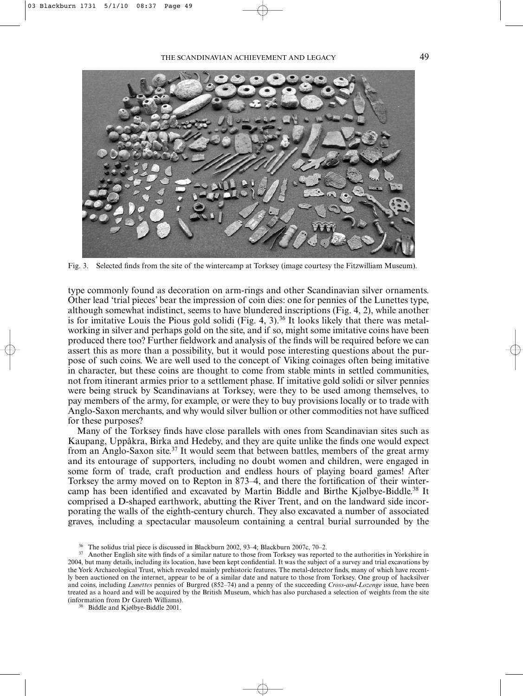

Fig. 3. Selected finds from the site of the wintercamp at Torksey (image courtesy the Fitzwilliam Museum).

type commonly found as decoration on arm-rings and other Scandinavian silver ornaments. Other lead 'trial pieces' bear the impression of coin dies: one for pennies of the Lunettes type, although somewhat indistinct, seems to have blundered inscriptions (Fig. 4, 2), while another is for imitative Louis the Pious gold solidi (Fig. 4, 3).<sup>36</sup> It looks likely that there was metalworking in silver and perhaps gold on the site, and if so, might some imitative coins have been produced there too? Further fieldwork and analysis of the finds will be required before we can assert this as more than a possibility, but it would pose interesting questions about the purpose of such coins. We are well used to the concept of Viking coinages often being imitative in character, but these coins are thought to come from stable mints in settled communities, not from itinerant armies prior to a settlement phase. If imitative gold solidi or silver pennies were being struck by Scandinavians at Torksey, were they to be used among themselves, to pay members of the army, for example, or were they to buy provisions locally or to trade with Anglo-Saxon merchants, and why would silver bullion or other commodities not have sufficed for these purposes?

Many of the Torksey finds have close parallels with ones from Scandinavian sites such as Kaupang, Uppåkra, Birka and Hedeby, and they are quite unlike the finds one would expect from an Anglo-Saxon site.37 It would seem that between battles, members of the great army and its entourage of supporters, including no doubt women and children, were engaged in some form of trade, craft production and endless hours of playing board games! After Torksey the army moved on to Repton in 873–4, and there the fortification of their wintercamp has been identified and excavated by Martin Biddle and Birthe Kjølbye-Biddle.38 It comprised a D-shaped earthwork, abutting the River Trent, and on the landward side incorporating the walls of the eighth-century church. They also excavated a number of associated graves, including a spectacular mausoleum containing a central burial surrounded by the

<sup>36</sup> The solidus trial piece is discussed in Blackburn 2002, 93–4; Blackburn 2007c, 70–2.

<sup>&</sup>lt;sup>37</sup> Another English site with finds of a similar nature to those from Torksey was reported to the authorities in Yorkshire in 2004, but many details, including its location, have been kept confidential. It was the subject of a survey and trial excavations by the York Archaeological Trust, which revealed mainly prehistoric features. The metal-detector finds, many of which have recently been auctioned on the internet, appear to be of a similar date and nature to those from Torksey. One group of hacksilver and coins, including *Lunettes* pennies of Burgred (852–74) and a penny of the succeeding *Cross-and-Lozenge* issue, have been treated as a hoard and will be acquired by the British Museum, which has also purchased a selection of weights from the site (information from Dr Gareth Williams).

Biddle and Kjølbye-Biddle 2001.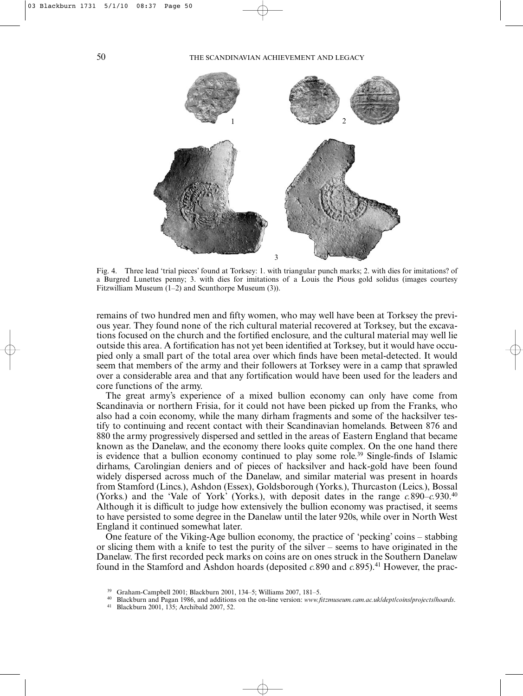

Fig. 4. Three lead 'trial pieces' found at Torksey: 1. with triangular punch marks; 2. with dies for imitations? of a Burgred Lunettes penny; 3. with dies for imitations of a Louis the Pious gold solidus (images courtesy Fitzwilliam Museum  $(1-2)$  and Scunthorpe Museum  $(3)$ ).

remains of two hundred men and fifty women, who may well have been at Torksey the previous year. They found none of the rich cultural material recovered at Torksey, but the excavations focused on the church and the fortified enclosure, and the cultural material may well lie outside this area. A fortification has not yet been identified at Torksey, but it would have occupied only a small part of the total area over which finds have been metal-detected. It would seem that members of the army and their followers at Torksey were in a camp that sprawled over a considerable area and that any fortification would have been used for the leaders and core functions of the army.

The great army's experience of a mixed bullion economy can only have come from Scandinavia or northern Frisia, for it could not have been picked up from the Franks, who also had a coin economy, while the many dirham fragments and some of the hacksilver testify to continuing and recent contact with their Scandinavian homelands. Between 876 and 880 the army progressively dispersed and settled in the areas of Eastern England that became known as the Danelaw, and the economy there looks quite complex. On the one hand there is evidence that a bullion economy continued to play some role.<sup>39</sup> Single-finds of Islamic dirhams, Carolingian deniers and of pieces of hacksilver and hack-gold have been found widely dispersed across much of the Danelaw, and similar material was present in hoards from Stamford (Lincs.), Ashdon (Essex), Goldsborough (Yorks.), Thurcaston (Leics.), Bossal (Yorks.) and the 'Vale of York' (Yorks.), with deposit dates in the range *c.*890–*c.*930.40 Although it is difficult to judge how extensively the bullion economy was practised, it seems to have persisted to some degree in the Danelaw until the later 920s, while over in North West England it continued somewhat later.

One feature of the Viking-Age bullion economy, the practice of 'pecking' coins – stabbing or slicing them with a knife to test the purity of the silver – seems to have originated in the Danelaw. The first recorded peck marks on coins are on ones struck in the Southern Danelaw found in the Stamford and Ashdon hoards (deposited *c.*890 and *c.*895).41 However, the prac-

<sup>39</sup> Graham-Campbell 2001; Blackburn 2001, 134–5; Williams 2007, 181–5.

<sup>40</sup> Blackburn and Pagan 1986, and additions on the on-line version: *www.fitzmuseum.cam.ac.uk/dept/coins/projects/hoards*.

<sup>41</sup> Blackburn 2001, 135; Archibald 2007, 52.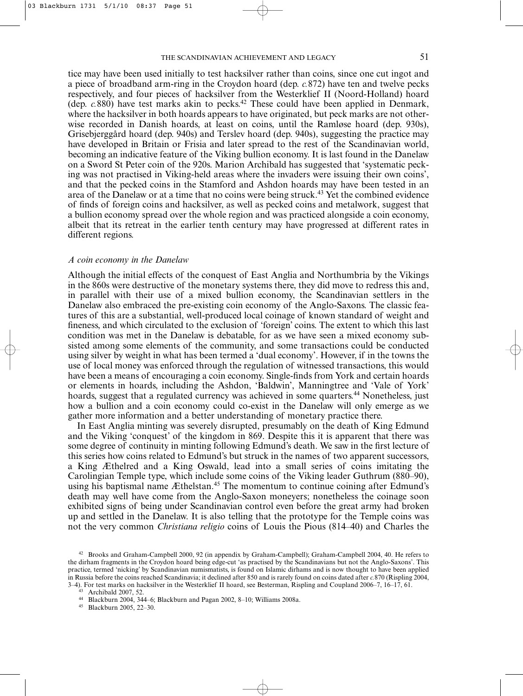tice may have been used initially to test hacksilver rather than coins, since one cut ingot and a piece of broadband arm-ring in the Croydon hoard (dep. *c.*872) have ten and twelve pecks respectively, and four pieces of hacksilver from the Westerklief II (Noord-Holland) hoard (dep. *c.*880) have test marks akin to pecks.42 These could have been applied in Denmark, where the hacksilver in both hoards appears to have originated, but peck marks are not otherwise recorded in Danish hoards, at least on coins, until the Ramløse hoard (dep. 930s), Grisebjerggård hoard (dep. 940s) and Terslev hoard (dep. 940s), suggesting the practice may have developed in Britain or Frisia and later spread to the rest of the Scandinavian world, becoming an indicative feature of the Viking bullion economy. It is last found in the Danelaw on a Sword St Peter coin of the 920s. Marion Archibald has suggested that 'systematic pecking was not practised in Viking-held areas where the invaders were issuing their own coins', and that the pecked coins in the Stamford and Ashdon hoards may have been tested in an area of the Danelaw or at a time that no coins were being struck.43 Yet the combined evidence of finds of foreign coins and hacksilver, as well as pecked coins and metalwork, suggest that a bullion economy spread over the whole region and was practiced alongside a coin economy, albeit that its retreat in the earlier tenth century may have progressed at different rates in different regions.

### *A coin economy in the Danelaw*

Although the initial effects of the conquest of East Anglia and Northumbria by the Vikings in the 860s were destructive of the monetary systems there, they did move to redress this and, in parallel with their use of a mixed bullion economy, the Scandinavian settlers in the Danelaw also embraced the pre-existing coin economy of the Anglo-Saxons. The classic features of this are a substantial, well-produced local coinage of known standard of weight and fineness, and which circulated to the exclusion of 'foreign' coins. The extent to which this last condition was met in the Danelaw is debatable, for as we have seen a mixed economy subsisted among some elements of the community, and some transactions could be conducted using silver by weight in what has been termed a 'dual economy'. However, if in the towns the use of local money was enforced through the regulation of witnessed transactions, this would have been a means of encouraging a coin economy. Single-finds from York and certain hoards or elements in hoards, including the Ashdon, 'Baldwin', Manningtree and 'Vale of York' hoards, suggest that a regulated currency was achieved in some quarters.<sup>44</sup> Nonetheless, just how a bullion and a coin economy could co-exist in the Danelaw will only emerge as we gather more information and a better understanding of monetary practice there.

In East Anglia minting was severely disrupted, presumably on the death of King Edmund and the Viking 'conquest' of the kingdom in 869. Despite this it is apparent that there was some degree of continuity in minting following Edmund's death. We saw in the first lecture of this series how coins related to Edmund's but struck in the names of two apparent successors, a King Æthelred and a King Oswald, lead into a small series of coins imitating the Carolingian Temple type, which include some coins of the Viking leader Guthrum (880–90), using his baptismal name Æthelstan.<sup>45</sup> The momentum to continue coining after Edmund's death may well have come from the Anglo-Saxon moneyers; nonetheless the coinage soon exhibited signs of being under Scandinavian control even before the great army had broken up and settled in the Danelaw. It is also telling that the prototype for the Temple coins was not the very common *Christiana religio* coins of Louis the Pious (814–40) and Charles the

<sup>42</sup> Brooks and Graham-Campbell 2000, 92 (in appendix by Graham-Campbell); Graham-Campbell 2004, 40. He refers to the dirham fragments in the Croydon hoard being edge-cut 'as practised by the Scandinavians but not the Anglo-Saxons'. This practice, termed 'nicking' by Scandinavian numismatists, is found on Islamic dirhams and is now thought to have been applied in Russia before the coins reached Scandinavia; it declined after 850 and is rarely found on coins dated after *c.*870 (Rispling 2004, 3–4). For test marks on hacksilver in the Westerklief II hoard, see Besterman, Rispling and Coupland 2006–7, 16–17, 61.

Archibald 2007, 52.

<sup>44</sup> Blackburn 2004, 344–6; Blackburn and Pagan 2002, 8–10; Williams 2008a.

<sup>45</sup> Blackburn 2005, 22–30.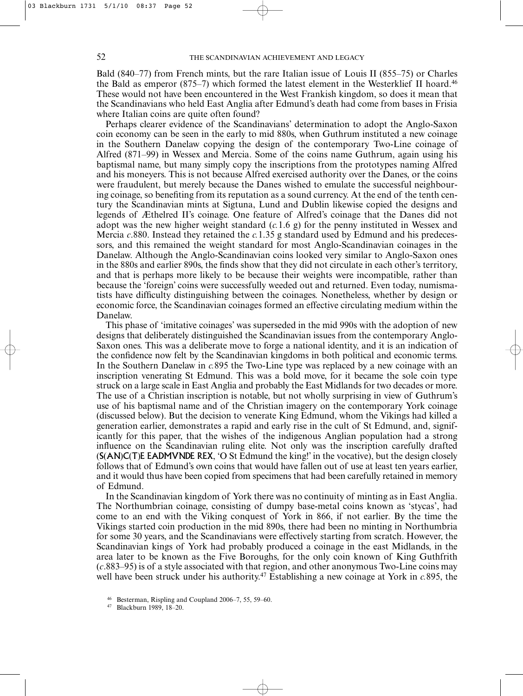Bald (840–77) from French mints, but the rare Italian issue of Louis II (855–75) or Charles the Bald as emperor  $(875-7)$  which formed the latest element in the Westerklief II hoard.<sup>46</sup> These would not have been encountered in the West Frankish kingdom, so does it mean that the Scandinavians who held East Anglia after Edmund's death had come from bases in Frisia where Italian coins are quite often found?

Perhaps clearer evidence of the Scandinavians' determination to adopt the Anglo-Saxon coin economy can be seen in the early to mid 880s, when Guthrum instituted a new coinage in the Southern Danelaw copying the design of the contemporary Two-Line coinage of Alfred (871–99) in Wessex and Mercia. Some of the coins name Guthrum, again using his baptismal name, but many simply copy the inscriptions from the prototypes naming Alfred and his moneyers. This is not because Alfred exercised authority over the Danes, or the coins were fraudulent, but merely because the Danes wished to emulate the successful neighbouring coinage, so benefiting from its reputation as a sound currency. At the end of the tenth century the Scandinavian mints at Sigtuna, Lund and Dublin likewise copied the designs and legends of Æthelred II's coinage. One feature of Alfred's coinage that the Danes did not adopt was the new higher weight standard (*c.*1.6 g) for the penny instituted in Wessex and Mercia *c*.880. Instead they retained the *c.*1.35 g standard used by Edmund and his predecessors, and this remained the weight standard for most Anglo-Scandinavian coinages in the Danelaw. Although the Anglo-Scandinavian coins looked very similar to Anglo-Saxon ones in the 880s and earlier 890s, the finds show that they did not circulate in each other's territory, and that is perhaps more likely to be because their weights were incompatible, rather than because the 'foreign' coins were successfully weeded out and returned. Even today, numismatists have difficulty distinguishing between the coinages. Nonetheless, whether by design or economic force, the Scandinavian coinages formed an effective circulating medium within the Danelaw.

This phase of 'imitative coinages' was superseded in the mid 990s with the adoption of new designs that deliberately distinguished the Scandinavian issues from the contemporary Anglo-Saxon ones. This was a deliberate move to forge a national identity, and it is an indication of the confidence now felt by the Scandinavian kingdoms in both political and economic terms. In the Southern Danelaw in *c.*895 the Two-Line type was replaced by a new coinage with an inscription venerating St Edmund. This was a bold move, for it became the sole coin type struck on a large scale in East Anglia and probably the East Midlands for two decades or more. The use of a Christian inscription is notable, but not wholly surprising in view of Guthrum's use of his baptismal name and of the Christian imagery on the contemporary York coinage (discussed below). But the decision to venerate King Edmund, whom the Vikings had killed a generation earlier, demonstrates a rapid and early rise in the cult of St Edmund, and, significantly for this paper, that the wishes of the indigenous Anglian population had a strong influence on the Scandinavian ruling elite. Not only was the inscription carefully drafted (S(AN)C(T)E EADMVNDE REX, 'O St Edmund the king!' in the vocative), but the design closely follows that of Edmund's own coins that would have fallen out of use at least ten years earlier, and it would thus have been copied from specimens that had been carefully retained in memory of Edmund.

In the Scandinavian kingdom of York there was no continuity of minting as in East Anglia. The Northumbrian coinage, consisting of dumpy base-metal coins known as 'stycas', had come to an end with the Viking conquest of York in 866, if not earlier. By the time the Vikings started coin production in the mid 890s, there had been no minting in Northumbria for some 30 years, and the Scandinavians were effectively starting from scratch. However, the Scandinavian kings of York had probably produced a coinage in the east Midlands, in the area later to be known as the Five Boroughs, for the only coin known of King Guthfrith (*c*.883–95) is of a style associated with that region, and other anonymous Two-Line coins may well have been struck under his authority.47 Establishing a new coinage at York in *c.*895, the

<sup>46</sup> Besterman, Rispling and Coupland 2006–7, 55, 59–60.

<sup>47</sup> Blackburn 1989, 18–20.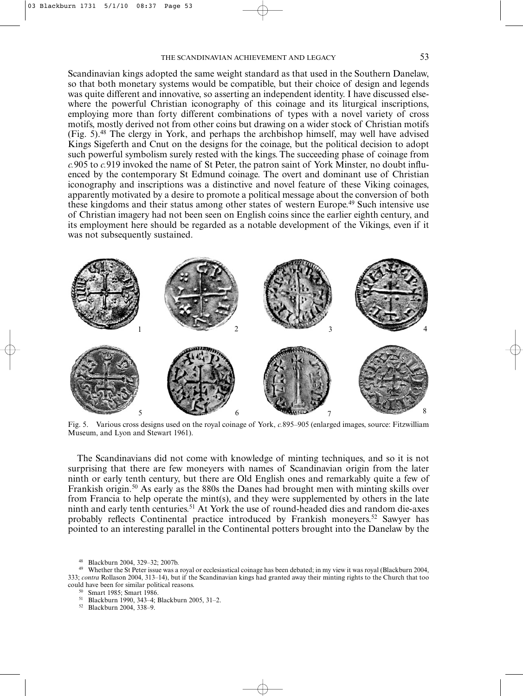Scandinavian kings adopted the same weight standard as that used in the Southern Danelaw, so that both monetary systems would be compatible, but their choice of design and legends was quite different and innovative, so asserting an independent identity. I have discussed elsewhere the powerful Christian iconography of this coinage and its liturgical inscriptions, employing more than forty different combinations of types with a novel variety of cross motifs, mostly derived not from other coins but drawing on a wider stock of Christian motifs (Fig. 5).48 The clergy in York, and perhaps the archbishop himself, may well have advised Kings Sigeferth and Cnut on the designs for the coinage, but the political decision to adopt such powerful symbolism surely rested with the kings. The succeeding phase of coinage from *c.*905 to *c.*919 invoked the name of St Peter, the patron saint of York Minster, no doubt influenced by the contemporary St Edmund coinage. The overt and dominant use of Christian iconography and inscriptions was a distinctive and novel feature of these Viking coinages, apparently motivated by a desire to promote a political message about the conversion of both these kingdoms and their status among other states of western Europe.49 Such intensive use of Christian imagery had not been seen on English coins since the earlier eighth century, and its employment here should be regarded as a notable development of the Vikings, even if it was not subsequently sustained.



Fig. 5. Various cross designs used on the royal coinage of York, *c.*895–905 (enlarged images, source: Fitzwilliam Museum, and Lyon and Stewart 1961).

The Scandinavians did not come with knowledge of minting techniques, and so it is not surprising that there are few moneyers with names of Scandinavian origin from the later ninth or early tenth century, but there are Old English ones and remarkably quite a few of Frankish origin.50 As early as the 880s the Danes had brought men with minting skills over from Francia to help operate the mint(s), and they were supplemented by others in the late ninth and early tenth centuries.<sup>51</sup> At York the use of round-headed dies and random die-axes probably reflects Continental practice introduced by Frankish moneyers.52 Sawyer has pointed to an interesting parallel in the Continental potters brought into the Danelaw by the

<sup>48</sup> Blackburn 2004, 329–32; 2007b.

- Smart 1985; Smart 1986.
- <sup>51</sup> Blackburn 1990, 343–4; Blackburn 2005, 31–2.

<sup>52</sup> Blackburn 2004, 338–9.

<sup>49</sup> Whether the St Peter issue was a royal or ecclesiastical coinage has been debated; in my view it was royal (Blackburn 2004, 333; *contra* Rollason 2004, 313–14), but if the Scandinavian kings had granted away their minting rights to the Church that too could have been for similar political reasons.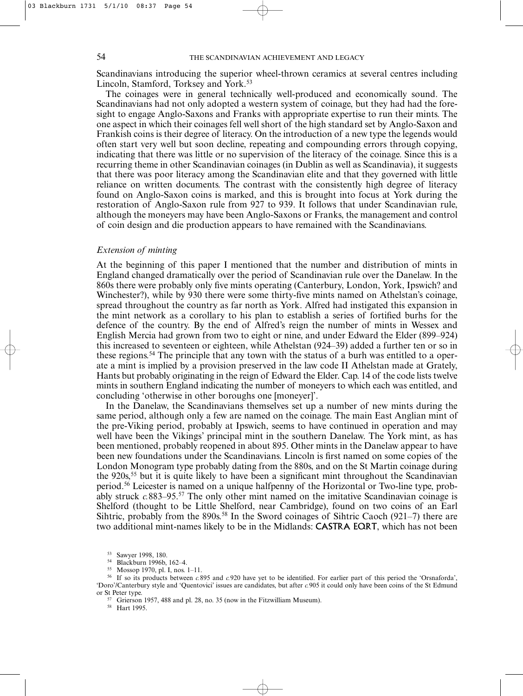Scandinavians introducing the superior wheel-thrown ceramics at several centres including Lincoln, Stamford, Torksey and York.<sup>53</sup>

The coinages were in general technically well-produced and economically sound. The Scandinavians had not only adopted a western system of coinage, but they had had the foresight to engage Anglo-Saxons and Franks with appropriate expertise to run their mints. The one aspect in which their coinages fell well short of the high standard set by Anglo-Saxon and Frankish coins is their degree of literacy. On the introduction of a new type the legends would often start very well but soon decline, repeating and compounding errors through copying, indicating that there was little or no supervision of the literacy of the coinage. Since this is a recurring theme in other Scandinavian coinages (in Dublin as well as Scandinavia), it suggests that there was poor literacy among the Scandinavian elite and that they governed with little reliance on written documents. The contrast with the consistently high degree of literacy found on Anglo-Saxon coins is marked, and this is brought into focus at York during the restoration of Anglo-Saxon rule from 927 to 939. It follows that under Scandinavian rule, although the moneyers may have been Anglo-Saxons or Franks, the management and control of coin design and die production appears to have remained with the Scandinavians.

### *Extension of minting*

At the beginning of this paper I mentioned that the number and distribution of mints in England changed dramatically over the period of Scandinavian rule over the Danelaw. In the 860s there were probably only five mints operating (Canterbury, London, York, Ipswich? and Winchester?), while by 930 there were some thirty-five mints named on Athelstan's coinage, spread throughout the country as far north as York. Alfred had instigated this expansion in the mint network as a corollary to his plan to establish a series of fortified burhs for the defence of the country. By the end of Alfred's reign the number of mints in Wessex and English Mercia had grown from two to eight or nine, and under Edward the Elder (899–924) this increased to seventeen or eighteen, while Athelstan (924–39) added a further ten or so in these regions.<sup>54</sup> The principle that any town with the status of a burh was entitled to a operate a mint is implied by a provision preserved in the law code II Athelstan made at Grately, Hants but probably originating in the reign of Edward the Elder. Cap. 14 of the code lists twelve mints in southern England indicating the number of moneyers to which each was entitled, and concluding 'otherwise in other boroughs one [moneyer]'.

In the Danelaw, the Scandinavians themselves set up a number of new mints during the same period, although only a few are named on the coinage. The main East Anglian mint of the pre-Viking period, probably at Ipswich, seems to have continued in operation and may well have been the Vikings' principal mint in the southern Danelaw. The York mint, as has been mentioned, probably reopened in about 895. Other mints in the Danelaw appear to have been new foundations under the Scandinavians. Lincoln is first named on some copies of the London Monogram type probably dating from the 880s, and on the St Martin coinage during the  $920s$ <sup>55</sup> but it is quite likely to have been a significant mint throughout the Scandinavian period.56 Leicester is named on a unique halfpenny of the Horizontal or Two-line type, probably struck *c*.883–95.<sup>57</sup> The only other mint named on the imitative Scandinavian coinage is Shelford (thought to be Little Shelford, near Cambridge), found on two coins of an Earl Sihtric, probably from the  $890s^{58}$  In the Sword coinages of Sihtric Caoch (921–7) there are two additional mint-names likely to be in the Midlands: CASTRA EQRT, which has not been

<sup>58</sup> Hart 1995.

<sup>53</sup> Sawyer 1998, 180.

Blackburn 1996b, 162-4.

<sup>55</sup> Mossop 1970, pl. I, nos. 1–11.

<sup>56</sup> If so its products between *c.*895 and *c.*920 have yet to be identified. For earlier part of this period the 'Orsnaforda', 'Doro'/Canterbury style and 'Quentovici' issues are candidates, but after *c.*905 it could only have been coins of the St Edmund or St Peter type.

<sup>&</sup>lt;sup>57</sup> Grierson 1957, 488 and pl. 28, no. 35 (now in the Fitzwilliam Museum).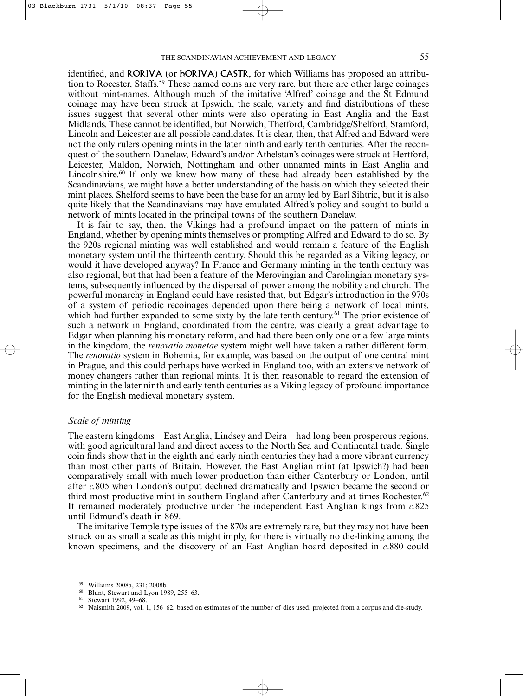identified, and RORIVA (or hORIVA) CASTR, for which Williams has proposed an attribution to Rocester, Staffs.<sup>59</sup> These named coins are very rare, but there are other large coinages without mint-names. Although much of the imitative 'Alfred' coinage and the St Edmund coinage may have been struck at Ipswich, the scale, variety and find distributions of these issues suggest that several other mints were also operating in East Anglia and the East Midlands. These cannot be identified, but Norwich, Thetford, Cambridge/Shelford, Stamford, Lincoln and Leicester are all possible candidates. It is clear, then, that Alfred and Edward were not the only rulers opening mints in the later ninth and early tenth centuries. After the reconquest of the southern Danelaw, Edward's and/or Athelstan's coinages were struck at Hertford, Leicester, Maldon, Norwich, Nottingham and other unnamed mints in East Anglia and Lincolnshire.<sup>60</sup> If only we knew how many of these had already been established by the Scandinavians, we might have a better understanding of the basis on which they selected their mint places. Shelford seems to have been the base for an army led by Earl Sihtric, but it is also quite likely that the Scandinavians may have emulated Alfred's policy and sought to build a network of mints located in the principal towns of the southern Danelaw.

It is fair to say, then, the Vikings had a profound impact on the pattern of mints in England, whether by opening mints themselves or prompting Alfred and Edward to do so. By the 920s regional minting was well established and would remain a feature of the English monetary system until the thirteenth century. Should this be regarded as a Viking legacy, or would it have developed anyway? In France and Germany minting in the tenth century was also regional, but that had been a feature of the Merovingian and Carolingian monetary systems, subsequently influenced by the dispersal of power among the nobility and church. The powerful monarchy in England could have resisted that, but Edgar's introduction in the 970s of a system of periodic recoinages depended upon there being a network of local mints, which had further expanded to some sixty by the late tenth century.<sup>61</sup> The prior existence of such a network in England, coordinated from the centre, was clearly a great advantage to Edgar when planning his monetary reform, and had there been only one or a few large mints in the kingdom, the *renovatio monetae* system might well have taken a rather different form. The *renovatio* system in Bohemia, for example, was based on the output of one central mint in Prague, and this could perhaps have worked in England too, with an extensive network of money changers rather than regional mints. It is then reasonable to regard the extension of minting in the later ninth and early tenth centuries as a Viking legacy of profound importance for the English medieval monetary system.

## *Scale of minting*

The eastern kingdoms – East Anglia, Lindsey and Deira – had long been prosperous regions, with good agricultural land and direct access to the North Sea and Continental trade. Single coin finds show that in the eighth and early ninth centuries they had a more vibrant currency than most other parts of Britain. However, the East Anglian mint (at Ipswich?) had been comparatively small with much lower production than either Canterbury or London, until after *c.*805 when London's output declined dramatically and Ipswich became the second or third most productive mint in southern England after Canterbury and at times Rochester.<sup>62</sup> It remained moderately productive under the independent East Anglian kings from *c.*825 until Edmund's death in 869.

The imitative Temple type issues of the 870s are extremely rare, but they may not have been struck on as small a scale as this might imply, for there is virtually no die-linking among the known specimens, and the discovery of an East Anglian hoard deposited in *c*.880 could

Williams 2008a, 231; 2008b.

<sup>60</sup> Blunt, Stewart and Lyon 1989, 255–63.

<sup>61</sup> Stewart 1992, 49–68.

<sup>62</sup> Naismith 2009, vol. 1, 156–62, based on estimates of the number of dies used, projected from a corpus and die-study.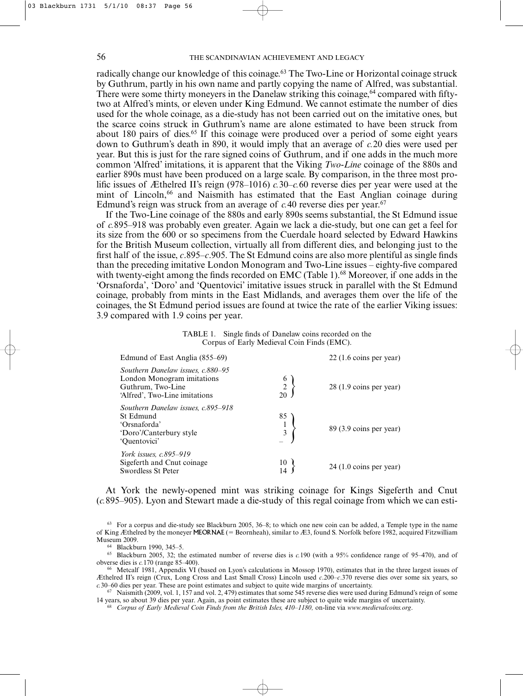radically change our knowledge of this coinage.<sup>63</sup> The Two-Line or Horizontal coinage struck by Guthrum, partly in his own name and partly copying the name of Alfred, was substantial. There were some thirty moneyers in the Danelaw striking this coinage,  $64$  compared with fiftytwo at Alfred's mints, or eleven under King Edmund. We cannot estimate the number of dies used for the whole coinage, as a die-study has not been carried out on the imitative ones, but the scarce coins struck in Guthrum's name are alone estimated to have been struck from about 180 pairs of dies.<sup>65</sup> If this coinage were produced over a period of some eight years down to Guthrum's death in 890, it would imply that an average of *c.*20 dies were used per year. But this is just for the rare signed coins of Guthrum, and if one adds in the much more common 'Alfred' imitations, it is apparent that the Viking *Two-Line* coinage of the 880s and earlier 890s must have been produced on a large scale. By comparison, in the three most prolific issues of Æthelred II's reign (978–1016) *c.*30–*c.*60 reverse dies per year were used at the mint of Lincoln,<sup>66</sup> and Naismith has estimated that the East Anglian coinage during Edmund's reign was struck from an average of  $c$ .40 reverse dies per year.<sup>67</sup>

If the Two-Line coinage of the 880s and early 890s seems substantial, the St Edmund issue of *c.*895–918 was probably even greater. Again we lack a die-study, but one can get a feel for its size from the 600 or so specimens from the Cuerdale hoard selected by Edward Hawkins for the British Museum collection, virtually all from different dies, and belonging just to the first half of the issue, *c*.895–*c*.905. The St Edmund coins are also more plentiful as single finds than the preceding imitative London Monogram and Two-Line issues – eighty-five compared with twenty-eight among the finds recorded on EMC (Table 1).<sup>68</sup> Moreover, if one adds in the 'Orsnaforda', 'Doro' and 'Quentovici' imitative issues struck in parallel with the St Edmund coinage, probably from mints in the East Midlands, and averages them over the life of the coinages, the St Edmund period issues are found at twice the rate of the earlier Viking issues: 3.9 compared with 1.9 coins per year.

| TABLE 1. Single finds of Danelaw coins recorded on the |
|--------------------------------------------------------|
| Corpus of Early Medieval Coin Finds (EMC).             |

| Edmund of East Anglia (855–69)                                                                                        |                     | $22(1.6 \text{ coins per year})$ |
|-----------------------------------------------------------------------------------------------------------------------|---------------------|----------------------------------|
| Southern Danelaw issues, c.880–95<br>London Monogram imitations<br>Guthrum, Two-Line<br>'Alfred', Two-Line imitations | $\overline{2}$      | 28 (1.9 coins per year)          |
| Southern Danelaw issues, c.895–918<br>St Edmund<br>'Orsnaforda'<br>'Doro'/Canterbury style<br>'Ouentovici'            | 85<br>$\frac{1}{3}$ | 89 (3.9 coins per year)          |
| <i>York issues, c.895–919</i><br>Sigeferth and Cnut coinage.<br>Swordless St Peter                                    |                     | $24(1.0 \text{ coins per year})$ |

At York the newly-opened mint was striking coinage for Kings Sigeferth and Cnut (*c.*895–905). Lyon and Stewart made a die-study of this regal coinage from which we can esti-

 $63$  For a corpus and die-study see Blackburn 2005,  $36-8$ ; to which one new coin can be added, a Temple type in the name of King Æthelred by the moneyer MEORNAE (= Beornheah), similar to Æ3, found S. Norfolk before 1982, acquired Fitzwilliam Museum 2009.

<sup>64</sup> Blackburn 1990, 345–5.

<sup>65</sup> Blackburn 2005, 32; the estimated number of reverse dies is *c.*190 (with a 95% confidence range of 95–470), and of obverse dies is *c.*170 (range 85–400).

<sup>66</sup> Metcalf 1981, Appendix VI (based on Lyon's calculations in Mossop 1970), estimates that in the three largest issues of Æthelred II's reign (Crux, Long Cross and Last Small Cross) Lincoln used *c*.200–*c*.370 reverse dies over some six years, so *c.*30–60 dies per year. These are point estimates and subject to quite wide margins of uncertainty.

<sup>67</sup> Naismith (2009, vol. 1, 157 and vol. 2, 479) estimates that some 545 reverse dies were used during Edmund's reign of some 14 years, so about 39 dies per year. Again, as point estimates these are subject to quite wide margins of uncertainty.

<sup>68</sup> *Corpus of Early Medieval Coin Finds from the British Isles, 410–1180,* on-line via *www.medievalcoins.org*.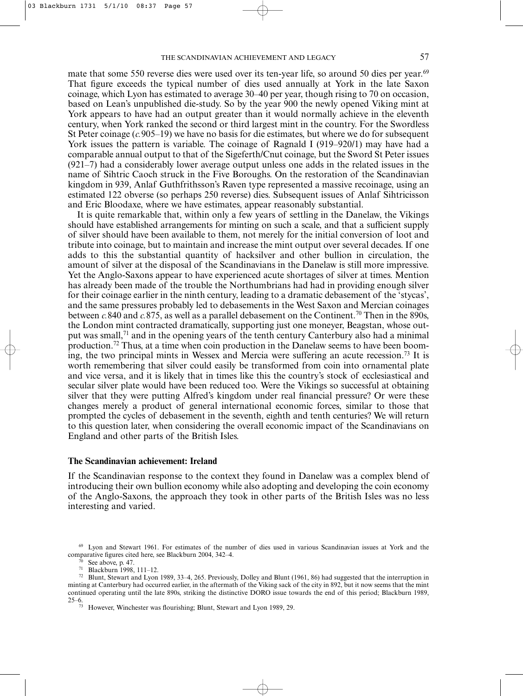mate that some 550 reverse dies were used over its ten-year life, so around 50 dies per year.<sup>69</sup> That figure exceeds the typical number of dies used annually at York in the late Saxon coinage, which Lyon has estimated to average 30–40 per year, though rising to 70 on occasion, based on Lean's unpublished die-study. So by the year 900 the newly opened Viking mint at York appears to have had an output greater than it would normally achieve in the eleventh century, when York ranked the second or third largest mint in the country. For the Swordless St Peter coinage (*c.*905–19) we have no basis for die estimates, but where we do for subsequent York issues the pattern is variable. The coinage of Ragnald I (919–920/1) may have had a comparable annual output to that of the Sigeferth/Cnut coinage, but the Sword St Peter issues (921–7) had a considerably lower average output unless one adds in the related issues in the name of Sihtric Caoch struck in the Five Boroughs. On the restoration of the Scandinavian kingdom in 939, Anlaf Guthfrithsson's Raven type represented a massive recoinage, using an estimated 122 obverse (so perhaps 250 reverse) dies. Subsequent issues of Anlaf Sihtricisson and Eric Bloodaxe, where we have estimates, appear reasonably substantial.

It is quite remarkable that, within only a few years of settling in the Danelaw, the Vikings should have established arrangements for minting on such a scale, and that a sufficient supply of silver should have been available to them, not merely for the initial conversion of loot and tribute into coinage, but to maintain and increase the mint output over several decades. If one adds to this the substantial quantity of hacksilver and other bullion in circulation, the amount of silver at the disposal of the Scandinavians in the Danelaw is still more impressive. Yet the Anglo-Saxons appear to have experienced acute shortages of silver at times. Mention has already been made of the trouble the Northumbrians had had in providing enough silver for their coinage earlier in the ninth century, leading to a dramatic debasement of the 'stycas', and the same pressures probably led to debasements in the West Saxon and Mercian coinages between *c*.840 and *c*.875, as well as a parallel debasement on the Continent.<sup>70</sup> Then in the 890s, the London mint contracted dramatically, supporting just one moneyer, Beagstan, whose output was small,<sup>71</sup> and in the opening years of the tenth century Canterbury also had a minimal production.72 Thus, at a time when coin production in the Danelaw seems to have been booming, the two principal mints in Wessex and Mercia were suffering an acute recession.73 It is worth remembering that silver could easily be transformed from coin into ornamental plate and vice versa, and it is likely that in times like this the country's stock of ecclesiastical and secular silver plate would have been reduced too. Were the Vikings so successful at obtaining silver that they were putting Alfred's kingdom under real financial pressure? Or were these changes merely a product of general international economic forces, similar to those that prompted the cycles of debasement in the seventh, eighth and tenth centuries? We will return to this question later, when considering the overall economic impact of the Scandinavians on England and other parts of the British Isles.

#### **The Scandinavian achievement: Ireland**

If the Scandinavian response to the context they found in Danelaw was a complex blend of introducing their own bullion economy while also adopting and developing the coin economy of the Anglo-Saxons, the approach they took in other parts of the British Isles was no less interesting and varied.

<sup>69</sup> Lyon and Stewart 1961. For estimates of the number of dies used in various Scandinavian issues at York and the comparative figures cited here, see Blackburn 2004, 342–4.

See above, p. 47.

<sup>71</sup> Blackburn 1998, 111–12.

<sup>72</sup> Blunt, Stewart and Lyon 1989, 33–4, 265. Previously, Dolley and Blunt (1961, 86) had suggested that the interruption in minting at Canterbury had occurred earlier, in the aftermath of the Viking sack of the city in 892, but it now seems that the mint continued operating until the late 890s, striking the distinctive DORO issue towards the end of this period; Blackburn 1989, 25–6.

However, Winchester was flourishing; Blunt, Stewart and Lyon 1989, 29.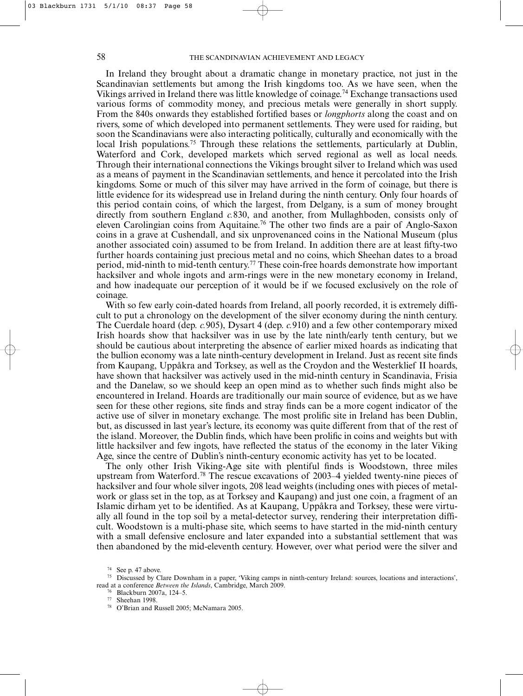In Ireland they brought about a dramatic change in monetary practice, not just in the Scandinavian settlements but among the Irish kingdoms too. As we have seen, when the Vikings arrived in Ireland there was little knowledge of coinage.74 Exchange transactions used various forms of commodity money, and precious metals were generally in short supply. From the 840s onwards they established fortified bases or *longphorts* along the coast and on rivers, some of which developed into permanent settlements. They were used for raiding, but soon the Scandinavians were also interacting politically, culturally and economically with the local Irish populations.<sup>75</sup> Through these relations the settlements, particularly at Dublin, Waterford and Cork, developed markets which served regional as well as local needs. Through their international connections the Vikings brought silver to Ireland which was used as a means of payment in the Scandinavian settlements, and hence it percolated into the Irish kingdoms. Some or much of this silver may have arrived in the form of coinage, but there is little evidence for its widespread use in Ireland during the ninth century. Only four hoards of this period contain coins, of which the largest, from Delgany, is a sum of money brought directly from southern England *c.*830, and another, from Mullaghboden, consists only of eleven Carolingian coins from Aquitaine.<sup>76</sup> The other two finds are a pair of Anglo-Saxon coins in a grave at Cushendall, and six unprovenanced coins in the National Museum (plus another associated coin) assumed to be from Ireland. In addition there are at least fifty-two further hoards containing just precious metal and no coins, which Sheehan dates to a broad period, mid-ninth to mid-tenth century.77 These coin-free hoards demonstrate how important hacksilver and whole ingots and arm-rings were in the new monetary economy in Ireland, and how inadequate our perception of it would be if we focused exclusively on the role of coinage.

With so few early coin-dated hoards from Ireland, all poorly recorded, it is extremely difficult to put a chronology on the development of the silver economy during the ninth century. The Cuerdale hoard (dep. *c.*905), Dysart 4 (dep. *c.*910) and a few other contemporary mixed Irish hoards show that hacksilver was in use by the late ninth/early tenth century, but we should be cautious about interpreting the absence of earlier mixed hoards as indicating that the bullion economy was a late ninth-century development in Ireland. Just as recent site finds from Kaupang, Uppåkra and Torksey, as well as the Croydon and the Westerklief II hoards, have shown that hacksilver was actively used in the mid-ninth century in Scandinavia, Frisia and the Danelaw, so we should keep an open mind as to whether such finds might also be encountered in Ireland. Hoards are traditionally our main source of evidence, but as we have seen for these other regions, site finds and stray finds can be a more cogent indicator of the active use of silver in monetary exchange. The most prolific site in Ireland has been Dublin, but, as discussed in last year's lecture, its economy was quite different from that of the rest of the island. Moreover, the Dublin finds, which have been prolific in coins and weights but with little hacksilver and few ingots, have reflected the status of the economy in the later Viking Age, since the centre of Dublin's ninth-century economic activity has yet to be located.

The only other Irish Viking-Age site with plentiful finds is Woodstown, three miles upstream from Waterford.78 The rescue excavations of 2003–4 yielded twenty-nine pieces of hacksilver and four whole silver ingots, 208 lead weights (including ones with pieces of metalwork or glass set in the top, as at Torksey and Kaupang) and just one coin, a fragment of an Islamic dirham yet to be identified. As at Kaupang, Uppåkra and Torksey, these were virtually all found in the top soil by a metal-detector survey, rendering their interpretation difficult. Woodstown is a multi-phase site, which seems to have started in the mid-ninth century with a small defensive enclosure and later expanded into a substantial settlement that was then abandoned by the mid-eleventh century. However, over what period were the silver and

<sup>74</sup> See p. 47 above.

<sup>75</sup> Discussed by Clare Downham in a paper, 'Viking camps in ninth-century Ireland: sources, locations and interactions', read at a conference *Between the Islands*, Cambridge, March 2009.

<sup>76</sup> Blackburn 2007a, 124–5.

<sup>&</sup>lt;sup>77</sup> Sheehan 1998.<br> $^{78}$  O'Prien and E

O'Brian and Russell 2005; McNamara 2005.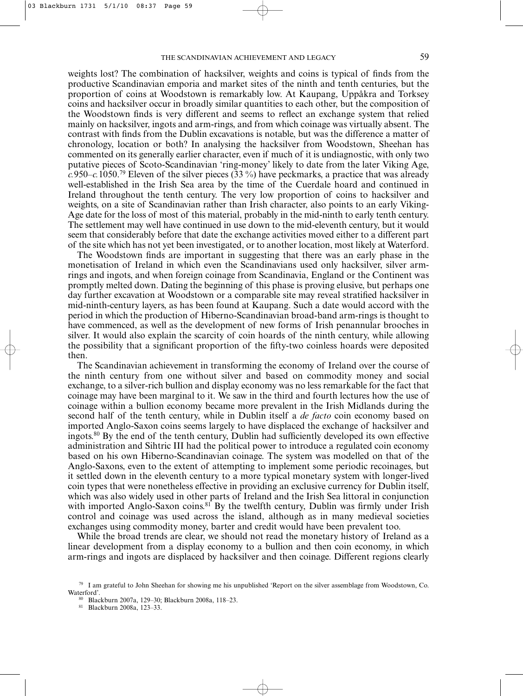weights lost? The combination of hacksilver, weights and coins is typical of finds from the productive Scandinavian emporia and market sites of the ninth and tenth centuries, but the proportion of coins at Woodstown is remarkably low. At Kaupang, Uppåkra and Torksey coins and hacksilver occur in broadly similar quantities to each other, but the composition of the Woodstown finds is very different and seems to reflect an exchange system that relied mainly on hacksilver, ingots and arm-rings, and from which coinage was virtually absent. The contrast with finds from the Dublin excavations is notable, but was the difference a matter of chronology, location or both? In analysing the hacksilver from Woodstown, Sheehan has commented on its generally earlier character, even if much of it is undiagnostic, with only two putative pieces of Scoto-Scandinavian 'ring-money' likely to date from the later Viking Age, *c.*950–*c.*1050.79 Eleven of the silver pieces (33 %) have peckmarks, a practice that was already well-established in the Irish Sea area by the time of the Cuerdale hoard and continued in Ireland throughout the tenth century. The very low proportion of coins to hacksilver and weights, on a site of Scandinavian rather than Irish character, also points to an early Viking-Age date for the loss of most of this material, probably in the mid-ninth to early tenth century. The settlement may well have continued in use down to the mid-eleventh century, but it would seem that considerably before that date the exchange activities moved either to a different part of the site which has not yet been investigated, or to another location, most likely at Waterford.

The Woodstown finds are important in suggesting that there was an early phase in the monetisation of Ireland in which even the Scandinavians used only hacksilver, silver armrings and ingots, and when foreign coinage from Scandinavia, England or the Continent was promptly melted down. Dating the beginning of this phase is proving elusive, but perhaps one day further excavation at Woodstown or a comparable site may reveal stratified hacksilver in mid-ninth-century layers, as has been found at Kaupang. Such a date would accord with the period in which the production of Hiberno-Scandinavian broad-band arm-rings is thought to have commenced, as well as the development of new forms of Irish penannular brooches in silver. It would also explain the scarcity of coin hoards of the ninth century, while allowing the possibility that a significant proportion of the fifty-two coinless hoards were deposited then.

The Scandinavian achievement in transforming the economy of Ireland over the course of the ninth century from one without silver and based on commodity money and social exchange, to a silver-rich bullion and display economy was no less remarkable for the fact that coinage may have been marginal to it. We saw in the third and fourth lectures how the use of coinage within a bullion economy became more prevalent in the Irish Midlands during the second half of the tenth century, while in Dublin itself a *de facto* coin economy based on imported Anglo-Saxon coins seems largely to have displaced the exchange of hacksilver and ingots.<sup>80</sup> By the end of the tenth century, Dublin had sufficiently developed its own effective administration and Sihtric III had the political power to introduce a regulated coin economy based on his own Hiberno-Scandinavian coinage. The system was modelled on that of the Anglo-Saxons, even to the extent of attempting to implement some periodic recoinages, but it settled down in the eleventh century to a more typical monetary system with longer-lived coin types that were nonetheless effective in providing an exclusive currency for Dublin itself, which was also widely used in other parts of Ireland and the Irish Sea littoral in conjunction with imported Anglo-Saxon coins.<sup>81</sup> By the twelfth century, Dublin was firmly under Irish control and coinage was used across the island, although as in many medieval societies exchanges using commodity money, barter and credit would have been prevalent too.

While the broad trends are clear, we should not read the monetary history of Ireland as a linear development from a display economy to a bullion and then coin economy, in which arm-rings and ingots are displaced by hacksilver and then coinage. Different regions clearly

<sup>81</sup> Blackburn 2008a, 123–33.

 $79$  I am grateful to John Sheehan for showing me his unpublished 'Report on the silver assemblage from Woodstown, Co. Waterford'.

<sup>80</sup> Blackburn 2007a, 129–30; Blackburn 2008a, 118–23.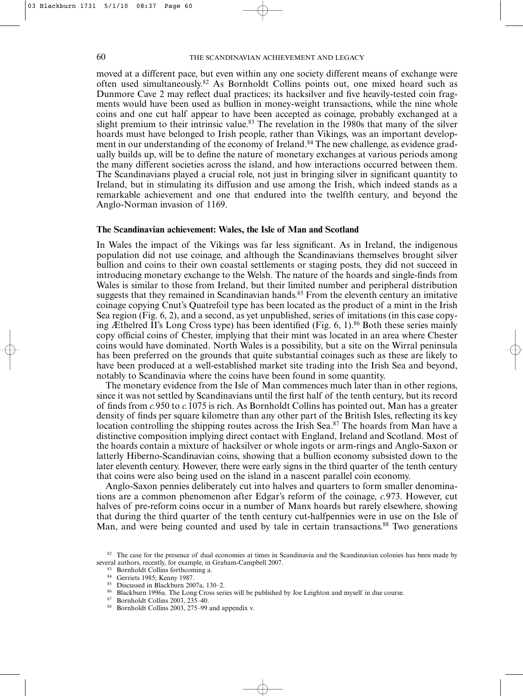moved at a different pace, but even within any one society different means of exchange were often used simultaneously.82 As Bornholdt Collins points out, one mixed hoard such as Dunmore Cave 2 may reflect dual practices; its hacksilver and five heavily-tested coin fragments would have been used as bullion in money-weight transactions, while the nine whole coins and one cut half appear to have been accepted as coinage, probably exchanged at a slight premium to their intrinsic value.<sup>83</sup> The revelation in the 1980s that many of the silver hoards must have belonged to Irish people, rather than Vikings, was an important development in our understanding of the economy of Ireland.<sup>84</sup> The new challenge, as evidence gradually builds up, will be to define the nature of monetary exchanges at various periods among the many different societies across the island, and how interactions occurred between them. The Scandinavians played a crucial role, not just in bringing silver in significant quantity to Ireland, but in stimulating its diffusion and use among the Irish, which indeed stands as a remarkable achievement and one that endured into the twelfth century, and beyond the Anglo-Norman invasion of 1169.

### **The Scandinavian achievement: Wales, the Isle of Man and Scotland**

In Wales the impact of the Vikings was far less significant. As in Ireland, the indigenous population did not use coinage, and although the Scandinavians themselves brought silver bullion and coins to their own coastal settlements or staging posts, they did not succeed in introducing monetary exchange to the Welsh. The nature of the hoards and single-finds from Wales is similar to those from Ireland, but their limited number and peripheral distribution suggests that they remained in Scandinavian hands.<sup>85</sup> From the eleventh century an imitative coinage copying Cnut's Quatrefoil type has been located as the product of a mint in the Irish Sea region (Fig. 6, 2), and a second, as yet unpublished, series of imitations (in this case copying Æthelred II's Long Cross type) has been identified (Fig. 6, 1).<sup>86</sup> Both these series mainly copy official coins of Chester, implying that their mint was located in an area where Chester coins would have dominated. North Wales is a possibility, but a site on the Wirral peninsula has been preferred on the grounds that quite substantial coinages such as these are likely to have been produced at a well-established market site trading into the Irish Sea and beyond, notably to Scandinavia where the coins have been found in some quantity.

The monetary evidence from the Isle of Man commences much later than in other regions, since it was not settled by Scandinavians until the first half of the tenth century, but its record of finds from *c.*950 to *c.*1075 is rich. As Bornholdt Collins has pointed out, Man has a greater density of finds per square kilometre than any other part of the British Isles, reflecting its key location controlling the shipping routes across the Irish Sea.87 The hoards from Man have a distinctive composition implying direct contact with England, Ireland and Scotland. Most of the hoards contain a mixture of hacksilver or whole ingots or arm-rings and Anglo-Saxon or latterly Hiberno-Scandinavian coins, showing that a bullion economy subsisted down to the later eleventh century. However, there were early signs in the third quarter of the tenth century that coins were also being used on the island in a nascent parallel coin economy.

Anglo-Saxon pennies deliberately cut into halves and quarters to form smaller denominations are a common phenomenon after Edgar's reform of the coinage, *c.*973. However, cut halves of pre-reform coins occur in a number of Manx hoards but rarely elsewhere, showing that during the third quarter of the tenth century cut-halfpennies were in use on the Isle of Man, and were being counted and used by tale in certain transactions.<sup>88</sup> Two generations

<sup>&</sup>lt;sup>82</sup> The case for the presence of dual economies at times in Scandinavia and the Scandinavian colonies has been made by several authors, recently, for example, in Graham-Campbell 2007.

<sup>83</sup> Bornholdt Collins forthcoming a.

 $^{84}$  Gerriets 1985; Kenny 1987.

<sup>85</sup> Discussed in Blackburn 2007a, 130–2.

<sup>86</sup> Blackburn 1996a. The Long Cross series will be published by Joe Leighton and myself in due course.<br>87 Bornholdt Colline 2003, 235, 40

 $^{87}$  Bornholdt Collins 2003, 235–40.<br> $^{88}$  Bornholdt Collins 2003, 275–99.

Bornholdt Collins 2003, 275–99 and appendix v.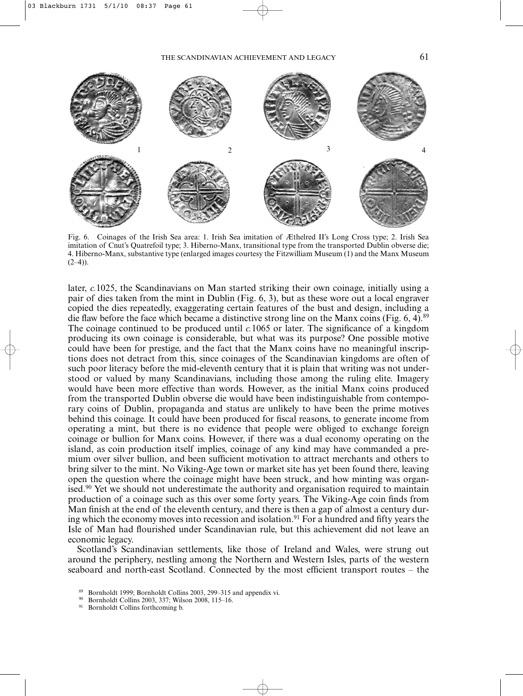

Fig. 6. Coinages of the Irish Sea area: 1. Irish Sea imitation of Æthelred II's Long Cross type; 2. Irish Sea imitation of Cnut's Quatrefoil type; 3. Hiberno-Manx, transitional type from the transported Dublin obverse die; 4. Hiberno-Manx, substantive type (enlarged images courtesy the Fitzwilliam Museum (1) and the Manx Museum  $(2-4)$ ).

later, *c.*1025, the Scandinavians on Man started striking their own coinage, initially using a pair of dies taken from the mint in Dublin (Fig. 6, 3), but as these wore out a local engraver copied the dies repeatedly, exaggerating certain features of the bust and design, including a die flaw before the face which became a distinctive strong line on the Manx coins (Fig.  $6, 4$ ).<sup>89</sup> The coinage continued to be produced until *c.*1065 or later. The significance of a kingdom producing its own coinage is considerable, but what was its purpose? One possible motive could have been for prestige, and the fact that the Manx coins have no meaningful inscriptions does not detract from this, since coinages of the Scandinavian kingdoms are often of such poor literacy before the mid-eleventh century that it is plain that writing was not understood or valued by many Scandinavians, including those among the ruling elite. Imagery would have been more effective than words. However, as the initial Manx coins produced from the transported Dublin obverse die would have been indistinguishable from contemporary coins of Dublin, propaganda and status are unlikely to have been the prime motives behind this coinage. It could have been produced for fiscal reasons, to generate income from operating a mint, but there is no evidence that people were obliged to exchange foreign coinage or bullion for Manx coins. However, if there was a dual economy operating on the island, as coin production itself implies, coinage of any kind may have commanded a premium over silver bullion, and been sufficient motivation to attract merchants and others to bring silver to the mint. No Viking-Age town or market site has yet been found there, leaving open the question where the coinage might have been struck, and how minting was organised.<sup>90</sup> Yet we should not underestimate the authority and organisation required to maintain production of a coinage such as this over some forty years. The Viking-Age coin finds from Man finish at the end of the eleventh century, and there is then a gap of almost a century during which the economy moves into recession and isolation.<sup>91</sup> For a hundred and fifty years the Isle of Man had flourished under Scandinavian rule, but this achievement did not leave an economic legacy.

Scotland's Scandinavian settlements, like those of Ireland and Wales, were strung out around the periphery, nestling among the Northern and Western Isles, parts of the western seaboard and north-east Scotland. Connected by the most efficient transport routes – the

<sup>&</sup>lt;sup>89</sup> Bornholdt 1999; Bornholdt Collins 2003, 299–315 and appendix vi.<br><sup>90</sup> Bornholdt Collins 2003, 237; Wilson 2008, 115, 16

<sup>&</sup>lt;sup>90</sup> Bornholdt Collins 2003, 337; Wilson 2008, 115–16.<br><sup>91</sup> Bornholdt Collins forthooming b

Bornholdt Collins forthcoming b.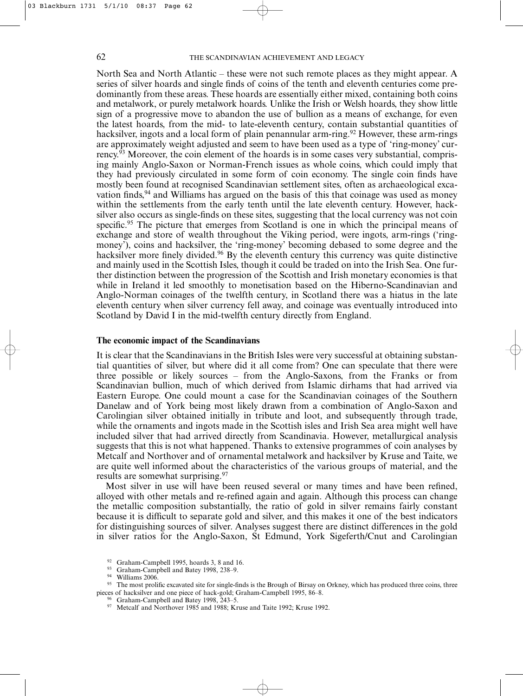North Sea and North Atlantic – these were not such remote places as they might appear. A series of silver hoards and single finds of coins of the tenth and eleventh centuries come predominantly from these areas. These hoards are essentially either mixed, containing both coins and metalwork, or purely metalwork hoards. Unlike the Irish or Welsh hoards, they show little sign of a progressive move to abandon the use of bullion as a means of exchange, for even the latest hoards, from the mid- to late-eleventh century, contain substantial quantities of hacksilver, ingots and a local form of plain penannular arm-ring.<sup>92</sup> However, these arm-rings are approximately weight adjusted and seem to have been used as a type of 'ring-money' currency.93 Moreover, the coin element of the hoards is in some cases very substantial, comprising mainly Anglo-Saxon or Norman-French issues as whole coins, which could imply that they had previously circulated in some form of coin economy. The single coin finds have mostly been found at recognised Scandinavian settlement sites, often as archaeological excavation finds,<sup>94</sup> and Williams has argued on the basis of this that coinage was used as money within the settlements from the early tenth until the late eleventh century. However, hacksilver also occurs as single-finds on these sites, suggesting that the local currency was not coin specific.<sup>95</sup> The picture that emerges from Scotland is one in which the principal means of exchange and store of wealth throughout the Viking period, were ingots, arm-rings ('ringmoney'), coins and hacksilver, the 'ring-money' becoming debased to some degree and the hacksilver more finely divided.<sup>96</sup> By the eleventh century this currency was quite distinctive and mainly used in the Scottish Isles, though it could be traded on into the Irish Sea. One further distinction between the progression of the Scottish and Irish monetary economies is that while in Ireland it led smoothly to monetisation based on the Hiberno-Scandinavian and Anglo-Norman coinages of the twelfth century, in Scotland there was a hiatus in the late eleventh century when silver currency fell away, and coinage was eventually introduced into Scotland by David I in the mid-twelfth century directly from England.

### **The economic impact of the Scandinavians**

It is clear that the Scandinavians in the British Isles were very successful at obtaining substantial quantities of silver, but where did it all come from? One can speculate that there were three possible or likely sources – from the Anglo-Saxons, from the Franks or from Scandinavian bullion, much of which derived from Islamic dirhams that had arrived via Eastern Europe. One could mount a case for the Scandinavian coinages of the Southern Danelaw and of York being most likely drawn from a combination of Anglo-Saxon and Carolingian silver obtained initially in tribute and loot, and subsequently through trade, while the ornaments and ingots made in the Scottish isles and Irish Sea area might well have included silver that had arrived directly from Scandinavia. However, metallurgical analysis suggests that this is not what happened. Thanks to extensive programmes of coin analyses by Metcalf and Northover and of ornamental metalwork and hacksilver by Kruse and Taite, we are quite well informed about the characteristics of the various groups of material, and the results are somewhat surprising.97

Most silver in use will have been reused several or many times and have been refined, alloyed with other metals and re-refined again and again. Although this process can change the metallic composition substantially, the ratio of gold in silver remains fairly constant because it is difficult to separate gold and silver, and this makes it one of the best indicators for distinguishing sources of silver. Analyses suggest there are distinct differences in the gold in silver ratios for the Anglo-Saxon, St Edmund, York Sigeferth/Cnut and Carolingian

Graham-Campbell 1995, hoards 3, 8 and 16.

<sup>93</sup> Graham-Campbell and Batey 1998, 238–9.

 $^{94}$  Williams 2006.

The most prolific excavated site for single-finds is the Brough of Birsay on Orkney, which has produced three coins, three pieces of hacksilver and one piece of hack-gold; Graham-Campbell 1995, 86–8.

Graham-Campbell and Batey 1998, 243–5.

<sup>&</sup>lt;sup>97</sup> Metcalf and Northover 1985 and 1988; Kruse and Taite 1992; Kruse 1992.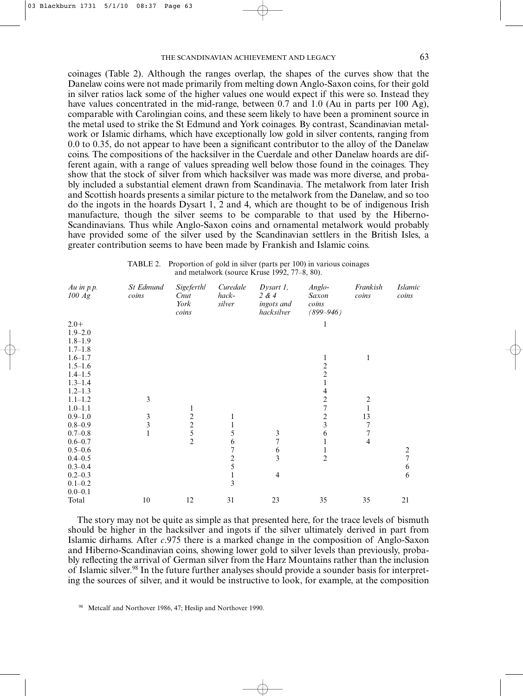coinages (Table 2). Although the ranges overlap, the shapes of the curves show that the Danelaw coins were not made primarily from melting down Anglo-Saxon coins, for their gold in silver ratios lack some of the higher values one would expect if this were so. Instead they have values concentrated in the mid-range, between 0.7 and 1.0 (Au in parts per 100 Ag), comparable with Carolingian coins, and these seem likely to have been a prominent source in the metal used to strike the St Edmund and York coinages. By contrast, Scandinavian metalwork or Islamic dirhams, which have exceptionally low gold in silver contents, ranging from 0.0 to 0.35, do not appear to have been a significant contributor to the alloy of the Danelaw coins. The compositions of the hacksilver in the Cuerdale and other Danelaw hoards are different again, with a range of values spreading well below those found in the coinages. They show that the stock of silver from which hacksilver was made was more diverse, and probably included a substantial element drawn from Scandinavia. The metalwork from later Irish and Scottish hoards presents a similar picture to the metalwork from the Danelaw, and so too do the ingots in the hoards Dysart 1, 2 and 4, which are thought to be of indigenous Irish manufacture, though the silver seems to be comparable to that used by the Hiberno-Scandinavians. Thus while Anglo-Saxon coins and ornamental metalwork would probably have provided some of the silver used by the Scandinavian settlers in the British Isles, a greater contribution seems to have been made by Frankish and Islamic coins.

| TABLE 2. Proportion of gold in silver (parts per 100) in various coinages |
|---------------------------------------------------------------------------|
| and metalwork (source Kruse 1992, $77-8$ , 80).                           |

| Au in $p.p.$<br>100 Ag | St Edmund<br>coins | <b>Sigeferth</b> /<br>Cnut<br>York<br>coins     | Curedale<br>hack-<br>silver | $Dysart 1$ ,<br>2 & 4<br>ingots and<br>hacksilver | Anglo-<br>Saxon<br>coins<br>$(899 - 946)$ | Frankish<br>coins       | <b>Islamic</b><br>coins |
|------------------------|--------------------|-------------------------------------------------|-----------------------------|---------------------------------------------------|-------------------------------------------|-------------------------|-------------------------|
| $2.0+$                 |                    |                                                 |                             |                                                   | 1                                         |                         |                         |
| $1.9 - 2.0$            |                    |                                                 |                             |                                                   |                                           |                         |                         |
| $1.8 - 1.9$            |                    |                                                 |                             |                                                   |                                           |                         |                         |
| $1.7 - 1.8$            |                    |                                                 |                             |                                                   |                                           |                         |                         |
| $1.6 - 1.7$            |                    |                                                 |                             |                                                   | 1                                         | 1                       |                         |
| $1.5 - 1.6$            |                    |                                                 |                             |                                                   |                                           |                         |                         |
| $1.4 - 1.5$            |                    |                                                 |                             |                                                   | $\frac{2}{2}$                             |                         |                         |
| $1.3 - 1.4$            |                    |                                                 |                             |                                                   |                                           |                         |                         |
| $1.2 - 1.3$            |                    |                                                 |                             |                                                   | 4                                         |                         |                         |
| $1.1 - 1.2$            | 3                  |                                                 |                             |                                                   | $\overline{\mathbf{c}}$                   | $\overline{\mathbf{c}}$ |                         |
| $1.0 - 1.1$            |                    | $\mathbf{1}$                                    |                             |                                                   | $\overline{7}$                            | $\mathbf{1}$            |                         |
| $0.9 - 1.0$            | $\frac{3}{3}$      |                                                 | 1                           |                                                   | $\frac{2}{3}$                             | 13                      |                         |
| $0.8 - 0.9$            |                    |                                                 | 1                           |                                                   |                                           | 7                       |                         |
| $0.7 - 0.8$            |                    | $\begin{array}{c} 2 \\ 2 \\ 5 \\ 2 \end{array}$ | 5                           | $\mathfrak{Z}$                                    | 6                                         | $\overline{7}$          |                         |
| $0.6 - 0.7$            |                    |                                                 | 6                           | $\overline{7}$                                    | $\mathbf{1}$                              | $\overline{\mathbf{4}}$ |                         |
| $0.5 - 0.6$            |                    |                                                 | 7                           | $\sqrt{6}$                                        |                                           |                         | $\frac{2}{7}$           |
| $0.4 - 0.5$            |                    |                                                 | $\frac{2}{5}$               | $\overline{3}$                                    | $\overline{c}$                            |                         |                         |
| $0.3 - 0.4$            |                    |                                                 |                             |                                                   |                                           |                         | $\sqrt{6}$              |
| $0.2 - 0.3$            |                    |                                                 | 1                           | $\overline{4}$                                    |                                           |                         | 6                       |
| $0.1 - 0.2$            |                    |                                                 | 3                           |                                                   |                                           |                         |                         |
| $0.0 - 0.1$            |                    |                                                 |                             |                                                   |                                           |                         |                         |
| Total                  | $10\,$             | 12                                              | 31                          | 23                                                | 35                                        | 35                      | 21                      |

The story may not be quite as simple as that presented here, for the trace levels of bismuth should be higher in the hacksilver and ingots if the silver ultimately derived in part from Islamic dirhams. After *c*.975 there is a marked change in the composition of Anglo-Saxon and Hiberno-Scandinavian coins, showing lower gold to silver levels than previously, probably reflecting the arrival of German silver from the Harz Mountains rather than the inclusion of Islamic silver.<sup>98</sup> In the future further analyses should provide a sounder basis for interpreting the sources of silver, and it would be instructive to look, for example, at the composition

98 Metcalf and Northover 1986, 47; Heslip and Northover 1990.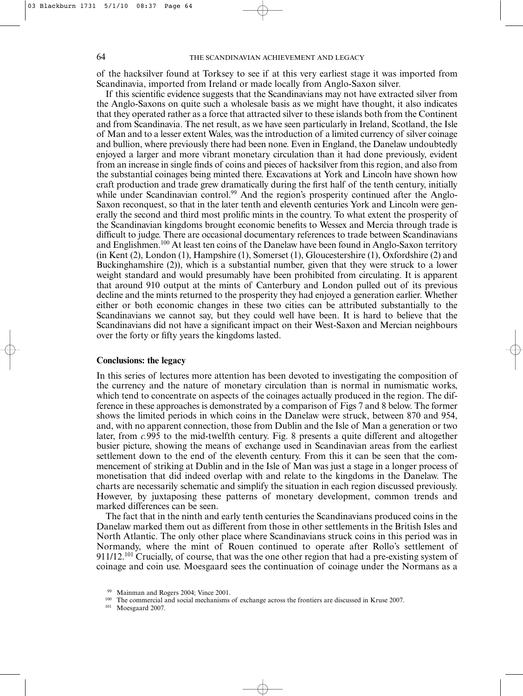of the hacksilver found at Torksey to see if at this very earliest stage it was imported from Scandinavia, imported from Ireland or made locally from Anglo-Saxon silver.

If this scientific evidence suggests that the Scandinavians may not have extracted silver from the Anglo-Saxons on quite such a wholesale basis as we might have thought, it also indicates that they operated rather as a force that attracted silver to these islands both from the Continent and from Scandinavia. The net result, as we have seen particularly in Ireland, Scotland, the Isle of Man and to a lesser extent Wales, was the introduction of a limited currency of silver coinage and bullion, where previously there had been none. Even in England, the Danelaw undoubtedly enjoyed a larger and more vibrant monetary circulation than it had done previously, evident from an increase in single finds of coins and pieces of hacksilver from this region, and also from the substantial coinages being minted there. Excavations at York and Lincoln have shown how craft production and trade grew dramatically during the first half of the tenth century, initially while under Scandinavian control.<sup>99</sup> And the region's prosperity continued after the Anglo-Saxon reconquest, so that in the later tenth and eleventh centuries York and Lincoln were generally the second and third most prolific mints in the country. To what extent the prosperity of the Scandinavian kingdoms brought economic benefits to Wessex and Mercia through trade is difficult to judge. There are occasional documentary references to trade between Scandinavians and Englishmen.100 At least ten coins of the Danelaw have been found in Anglo-Saxon territory (in Kent (2), London (1), Hampshire (1), Somerset (1), Gloucestershire (1), Oxfordshire (2) and Buckinghamshire (2)), which is a substantial number, given that they were struck to a lower weight standard and would presumably have been prohibited from circulating. It is apparent that around 910 output at the mints of Canterbury and London pulled out of its previous decline and the mints returned to the prosperity they had enjoyed a generation earlier. Whether either or both economic changes in these two cities can be attributed substantially to the Scandinavians we cannot say, but they could well have been. It is hard to believe that the Scandinavians did not have a significant impact on their West-Saxon and Mercian neighbours over the forty or fifty years the kingdoms lasted.

## **Conclusions: the legacy**

In this series of lectures more attention has been devoted to investigating the composition of the currency and the nature of monetary circulation than is normal in numismatic works, which tend to concentrate on aspects of the coinages actually produced in the region. The difference in these approaches is demonstrated by a comparison of Figs 7 and 8 below. The former shows the limited periods in which coins in the Danelaw were struck, between 870 and 954, and, with no apparent connection, those from Dublin and the Isle of Man a generation or two later, from *c.*995 to the mid-twelfth century. Fig. 8 presents a quite different and altogether busier picture, showing the means of exchange used in Scandinavian areas from the earliest settlement down to the end of the eleventh century. From this it can be seen that the commencement of striking at Dublin and in the Isle of Man was just a stage in a longer process of monetisation that did indeed overlap with and relate to the kingdoms in the Danelaw. The charts are necessarily schematic and simplify the situation in each region discussed previously. However, by juxtaposing these patterns of monetary development, common trends and marked differences can be seen.

The fact that in the ninth and early tenth centuries the Scandinavians produced coins in the Danelaw marked them out as different from those in other settlements in the British Isles and North Atlantic. The only other place where Scandinavians struck coins in this period was in Normandy, where the mint of Rouen continued to operate after Rollo's settlement of 911/12.101 Crucially, of course, that was the one other region that had a pre-existing system of coinage and coin use. Moesgaard sees the continuation of coinage under the Normans as a

<sup>99</sup> Mainman and Rogers 2004; Vince 2001.

<sup>&</sup>lt;sup>100</sup> The commercial and social mechanisms of exchange across the frontiers are discussed in Kruse 2007.

<sup>101</sup> Moesgaard 2007.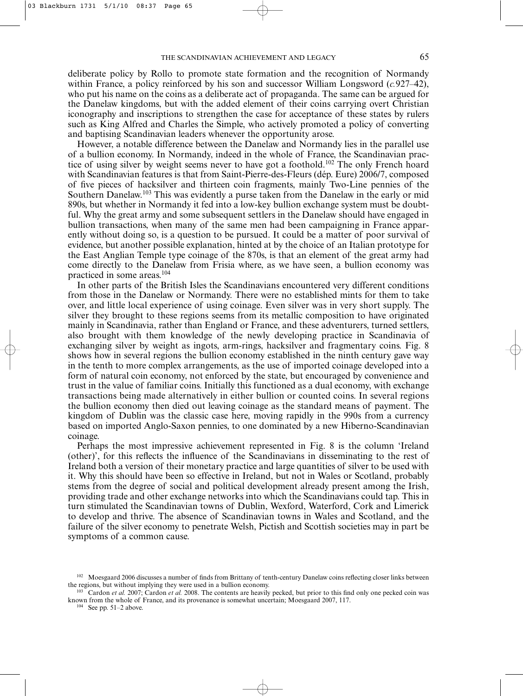deliberate policy by Rollo to promote state formation and the recognition of Normandy within France, a policy reinforced by his son and successor William Longsword (*c.*927–42), who put his name on the coins as a deliberate act of propaganda. The same can be argued for the Danelaw kingdoms, but with the added element of their coins carrying overt Christian iconography and inscriptions to strengthen the case for acceptance of these states by rulers such as King Alfred and Charles the Simple, who actively promoted a policy of converting and baptising Scandinavian leaders whenever the opportunity arose.

However, a notable difference between the Danelaw and Normandy lies in the parallel use of a bullion economy. In Normandy, indeed in the whole of France, the Scandinavian practice of using silver by weight seems never to have got a foothold.102 The only French hoard with Scandinavian features is that from Saint-Pierre-des-Fleurs (dép. Eure) 2006/7, composed of five pieces of hacksilver and thirteen coin fragments, mainly Two-Line pennies of the Southern Danelaw.103 This was evidently a purse taken from the Danelaw in the early or mid 890s, but whether in Normandy it fed into a low-key bullion exchange system must be doubtful. Why the great army and some subsequent settlers in the Danelaw should have engaged in bullion transactions, when many of the same men had been campaigning in France apparently without doing so, is a question to be pursued. It could be a matter of poor survival of evidence, but another possible explanation, hinted at by the choice of an Italian prototype for the East Anglian Temple type coinage of the 870s, is that an element of the great army had come directly to the Danelaw from Frisia where, as we have seen, a bullion economy was practiced in some areas.104

In other parts of the British Isles the Scandinavians encountered very different conditions from those in the Danelaw or Normandy. There were no established mints for them to take over, and little local experience of using coinage. Even silver was in very short supply. The silver they brought to these regions seems from its metallic composition to have originated mainly in Scandinavia, rather than England or France, and these adventurers, turned settlers, also brought with them knowledge of the newly developing practice in Scandinavia of exchanging silver by weight as ingots, arm-rings, hacksilver and fragmentary coins. Fig. 8 shows how in several regions the bullion economy established in the ninth century gave way in the tenth to more complex arrangements, as the use of imported coinage developed into a form of natural coin economy, not enforced by the state, but encouraged by convenience and trust in the value of familiar coins. Initially this functioned as a dual economy, with exchange transactions being made alternatively in either bullion or counted coins. In several regions the bullion economy then died out leaving coinage as the standard means of payment. The kingdom of Dublin was the classic case here, moving rapidly in the 990s from a currency based on imported Anglo-Saxon pennies, to one dominated by a new Hiberno-Scandinavian coinage.

Perhaps the most impressive achievement represented in Fig. 8 is the column 'Ireland (other)', for this reflects the influence of the Scandinavians in disseminating to the rest of Ireland both a version of their monetary practice and large quantities of silver to be used with it. Why this should have been so effective in Ireland, but not in Wales or Scotland, probably stems from the degree of social and political development already present among the Irish, providing trade and other exchange networks into which the Scandinavians could tap. This in turn stimulated the Scandinavian towns of Dublin, Wexford, Waterford, Cork and Limerick to develop and thrive. The absence of Scandinavian towns in Wales and Scotland, and the failure of the silver economy to penetrate Welsh, Pictish and Scottish societies may in part be symptoms of a common cause.

 $104$  See pp. 51–2 above.

<sup>&</sup>lt;sup>102</sup> Moesgaard 2006 discusses a number of finds from Brittany of tenth-century Danelaw coins reflecting closer links between the regions, but without implying they were used in a bullion economy.

<sup>&</sup>lt;sup>103</sup> Cardon *et al.* 2007; Cardon *et al.* 2008. The contents are heavily pecked, but prior to this find only one pecked coin was known from the whole of France, and its provenance is somewhat uncertain; Moesgaard 2007, 117.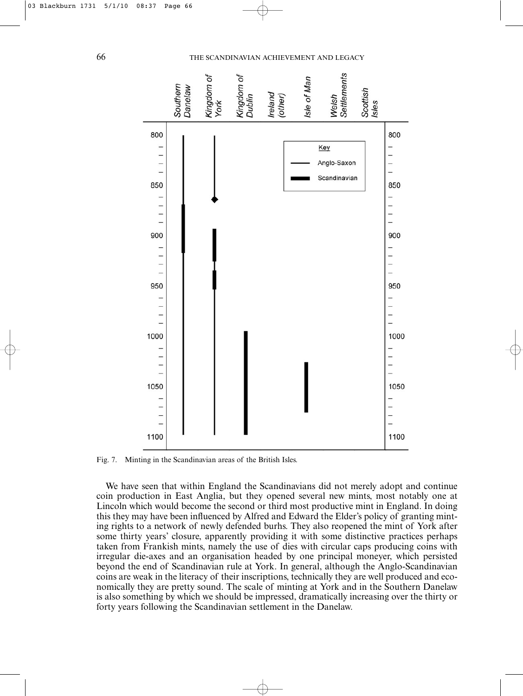



Fig. 7. Minting in the Scandinavian areas of the British Isles.

We have seen that within England the Scandinavians did not merely adopt and continue coin production in East Anglia, but they opened several new mints, most notably one at Lincoln which would become the second or third most productive mint in England. In doing this they may have been influenced by Alfred and Edward the Elder's policy of granting minting rights to a network of newly defended burhs. They also reopened the mint of York after some thirty years' closure, apparently providing it with some distinctive practices perhaps taken from Frankish mints, namely the use of dies with circular caps producing coins with irregular die-axes and an organisation headed by one principal moneyer, which persisted beyond the end of Scandinavian rule at York. In general, although the Anglo-Scandinavian coins are weak in the literacy of their inscriptions, technically they are well produced and economically they are pretty sound. The scale of minting at York and in the Southern Danelaw is also something by which we should be impressed, dramatically increasing over the thirty or forty years following the Scandinavian settlement in the Danelaw.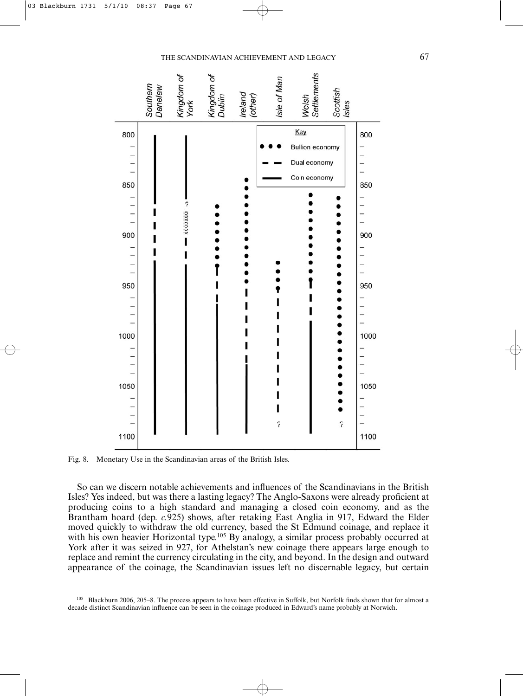

Fig. 8. Monetary Use in the Scandinavian areas of the British Isles.

So can we discern notable achievements and influences of the Scandinavians in the British Isles? Yes indeed, but was there a lasting legacy? The Anglo-Saxons were already proficient at producing coins to a high standard and managing a closed coin economy, and as the Brantham hoard (dep. *c.*925) shows, after retaking East Anglia in 917, Edward the Elder moved quickly to withdraw the old currency, based the St Edmund coinage, and replace it with his own heavier Horizontal type.<sup>105</sup> By analogy, a similar process probably occurred at York after it was seized in 927, for Athelstan's new coinage there appears large enough to replace and remint the currency circulating in the city, and beyond. In the design and outward appearance of the coinage, the Scandinavian issues left no discernable legacy, but certain

105 Blackburn 2006, 205–8. The process appears to have been effective in Suffolk, but Norfolk finds shown that for almost a decade distinct Scandinavian influence can be seen in the coinage produced in Edward's name probably at Norwich.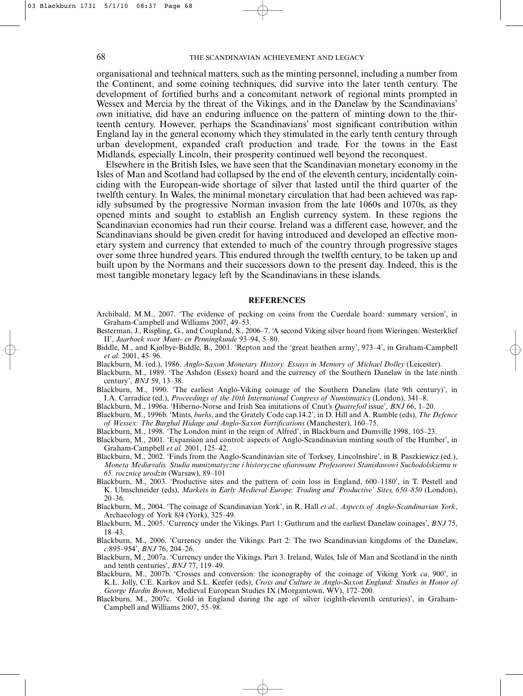organisational and technical matters, such as the minting personnel, including a number from the Continent, and some coining techniques, did survive into the later tenth century. The development of fortified burhs and a concomitant network of regional mints prompted in Wessex and Mercia by the threat of the Vikings, and in the Danelaw by the Scandinavians' own initiative, did have an enduring influence on the pattern of minting down to the thirteenth century. However, perhaps the Scandinavians' most significant contribution within England lay in the general economy which they stimulated in the early tenth century through urban development, expanded craft production and trade. For the towns in the East Midlands, especially Lincoln, their prosperity continued well beyond the reconquest.

Elsewhere in the British Isles, we have seen that the Scandinavian monetary economy in the Isles of Man and Scotland had collapsed by the end of the eleventh century, incidentally coinciding with the European-wide shortage of silver that lasted until the third quarter of the twelfth century. In Wales, the minimal monetary circulation that had been achieved was rapidly subsumed by the progressive Norman invasion from the late 1060s and 1070s, as they opened mints and sought to establish an English currency system. In these regions the Scandinavian economies had run their course. Ireland was a different case, however, and the Scandinavians should be given credit for having introduced and developed an effective monetary system and currency that extended to much of the country through progressive stages over some three hundred years. This endured through the twelfth century, to be taken up and built upon by the Normans and their successors down to the present day. Indeed, this is the most tangible monetary legacy left by the Scandinavians in these islands.

### **REFERENCES**

- Archibald, M.M., 2007. 'The evidence of pecking on coins from the Cuerdale hoard: summary version', in Graham-Campbell and Williams 2007, 49–53.
- Besterman, J., Rispling, G., and Coupland, S., 2006–7. 'A second Viking silver hoard from Wieringen: Westerklief II', *Jaarboek voor Munt- en Penningkunde* 93–94, 5–80.
- Biddle, M., and Kjølbye-Biddle, B., 2001. 'Repton and the 'great heathen army', 973–4', in Graham-Campbell *et al.* 2001, 45–96.
- Blackburn, M. (ed.), 1986. *Anglo-Saxon Monetary History. Essays in Memory of Michael Dolley* (Leicester).
- Blackburn, M., 1989. 'The Ashdon (Essex) hoard and the currency of the Southern Danelaw in the late ninth century', *BNJ* 59, 13–38.
- Blackburn, M., 1990. 'The earliest Anglo-Viking coinage of the Southern Danelaw (late 9th century)', in I.A. Carradice (ed.), *Proceedings of the 10th International Congress of Numismatics* (London), 341–8.
- Blackburn, M., 1996a. 'Hiberno-Norse and Irish Sea imitations of Cnut's *Quatrefoil* issue', *BNJ* 66, 1–20.
- Blackburn, M., 1996b. 'Mints, *burhs*, and the Grately Code cap.14.2', in D. Hill and A. Rumble (eds), *The Defence of Wessex: The Burghal Hidage and Anglo-Saxon Fortifications* (Manchester), 160–75.
- Blackburn, M., 1998. 'The London mint in the reign of Alfred', in Blackburn and Dumville 1998, 105–23.
- Blackburn, M., 2001. 'Expansion and control: aspects of Anglo-Scandinavian minting south of the Humber', in Graham-Campbell *et al.* 2001, 125–42.
- Blackburn, M., 2002. 'Finds from the Anglo-Scandinavian site of Torksey, Lincolnshire', in B. Paszkiewicz (ed.), *Moneta Mediævalis. Studia numizmatyczne i historyczne ofiarowane Profesorowi Stanisławowi Suchodolskiemu w 65. rocznicę urodzin* (Warsaw), 89–101
- Blackburn, M., 2003. 'Productive sites and the pattern of coin loss in England, 600–1180', in T. Pestell and K. Ulmschneider (eds), *Markets in Early Medieval Europe. Trading and 'Productive' Sites, 650–850* (London), 20–36.
- Blackburn, M., 2004. 'The coinage of Scandinavian York', in R. Hall *et al., Aspects of Anglo-Scandinavian York*, Archaeology of York 8/4 (York), 325–49.
- Blackburn, M., 2005. 'Currency under the Vikings. Part 1: Guthrum and the earliest Danelaw coinages', *BNJ* 75, 18–43.
- Blackburn, M., 2006. 'Currency under the Vikings. Part 2: The two Scandinavian kingdoms of the Danelaw, *c.*895–954', *BNJ* 76, 204–26.
- Blackburn, M., 2007a. 'Currency under the Vikings. Part 3. Ireland, Wales, Isle of Man and Scotland in the ninth and tenth centuries', *BNJ* 77, 119–49.
- Blackburn, M., 2007b. 'Crosses and conversion: the iconography of the coinage of Viking York *ca*. 900', in K.L. Jolly, C.E. Karkov and S.L. Keefer (eds), *Cross and Culture in Anglo-Saxon England: Studies in Honor of George Hardin Brown*, Medieval European Studies IX (Morgantown, WV), 172–200.
- Blackburn, M., 2007c. 'Gold in England during the age of silver (eighth-eleventh centuries)', in Graham-Campbell and Williams 2007, 55–98.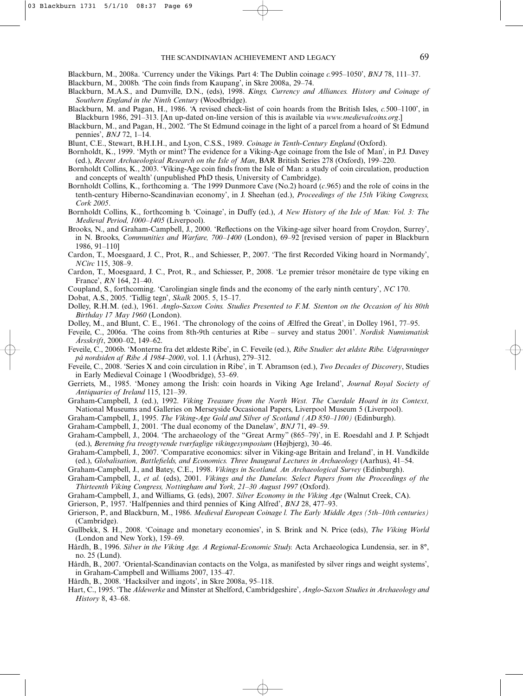Blackburn, M., 2008a. 'Currency under the Vikings. Part 4: The Dublin coinage *c.*995–1050', *BNJ* 78, 111–37.

Blackburn, M., 2008b. 'The coin finds from Kaupang', in Skre 2008a, 29–74.

- Blackburn, M.A.S., and Dumville, D.N., (eds), 1998. *Kings, Currency and Alliances. History and Coinage of Southern England in the Ninth Century* (Woodbridge).
- Blackburn, M. and Pagan, H., 1986. 'A revised check-list of coin hoards from the British Isles, *c.*500–1100', in Blackburn 1986, 291–313. [An up-dated on-line version of this is available via *www.medievalcoins.org*.]
- Blackburn, M., and Pagan, H., 2002. 'The St Edmund coinage in the light of a parcel from a hoard of St Edmund pennies', *BNJ* 72, 1–14.

Blunt, C.E., Stewart, B.H.I.H., and Lyon, C.S.S., 1989. *Coinage in Tenth-Century England* (Oxford).

- Bornholdt, K., 1999. 'Myth or mint? The evidence for a Viking-Age coinage from the Isle of Man', in P.J. Davey (ed.), *Recent Archaeological Research on the Isle of Man*, BAR British Series 278 (Oxford), 199–220.
- Bornholdt Collins, K., 2003. 'Viking-Age coin finds from the Isle of Man: a study of coin circulation, production and concepts of wealth' (unpublished PhD thesis, University of Cambridge).
- Bornholdt Collins, K., forthcoming a. 'The 1999 Dunmore Cave (No.2) hoard (*c*.965) and the role of coins in the tenth-century Hiberno-Scandinavian economy', in J. Sheehan (ed.), *Proceedings of the 15th Viking Congress, Cork 2005*.
- Bornholdt Collins, K., forthcoming b. 'Coinage', in Duffy (ed.), *A New History of the Isle of Man: Vol. 3: The Medieval Period, 1000–1405* (Liverpool).
- Brooks, N., and Graham-Campbell, J., 2000. 'Reflections on the Viking-age silver hoard from Croydon, Surrey', in N. Brooks, *Communities and Warfare, 700–1400* (London), 69–92 [revised version of paper in Blackburn 1986, 91–110]
- Cardon, T., Moesgaard, J. C., Prot, R., and Schiesser, P., 2007. 'The first Recorded Viking hoard in Normandy', *NCirc* 115, 308–9.
- Cardon, T., Moesgaard, J. C., Prot, R., and Schiesser, P., 2008. 'Le premier trésor monétaire de type viking en France', *RN* 164, 21–40.

Coupland, S., forthcoming. 'Carolingian single finds and the economy of the early ninth century', *NC* 170.

Dobat, A.S., 2005. 'Tidlig tegn', *Skalk* 2005. 5, 15–17.

Dolley, R.H.M. (ed.), 1961. *Anglo-Saxon Coins. Studies Presented to F.M. Stenton on the Occasion of his 80th Birthday 17 May 1960* (London).

- Dolley, M., and Blunt, C. E., 1961. 'The chronology of the coins of Ælfred the Great', in Dolley 1961, 77–95.
- Feveile, C., 2006a. 'The coins from 8th-9th centuries at Ribe survey and status 2001'. *Nordisk Numismatisk Årsskrift*, 2000–02, 149–62.
- Feveile, C., 2006b. 'Monterne fra det ældeste Ribe', in C. Feveile (ed.), *Ribe Studier: det ældste Ribe. Udgravninger på nordsiden af Ribe Å 1984–2000*, vol. 1.1 (Århus), 279–312.
- Feveile, C., 2008. 'Series X and coin circulation in Ribe', in T. Abramson (ed.), *Two Decades of Discovery*, Studies in Early Medieval Coinage 1 (Woodbridge), 53–69.
- Gerriets, M., 1985. 'Money among the Irish: coin hoards in Viking Age Ireland', *Journal Royal Society of Antiquaries of Ireland* 115, 121–39.
- Graham-Campbell, J. (ed.), 1992. *Viking Treasure from the North West. The Cuerdale Hoard in its Context,* National Museums and Galleries on Merseyside Occasional Papers, Liverpool Museum 5 (Liverpool).
- Graham-Campbell, J., 1995. *The Viking-Age Gold and Silver of Scotland (AD 850–1100)* (Edinburgh).

Graham-Campbell, J., 2001. 'The dual economy of the Danelaw', *BNJ* 71, 49–59.

- Graham-Campbell, J., 2004. 'The archaeology of the "Great Army" (865–79)', in E. Roesdahl and J. P. Schjødt (ed.), *Beretning fra treogtyvende tværfaglige vikingesymposium* (Højbjerg), 30–46.
- Graham-Campbell, J., 2007. 'Comparative economics: silver in Viking-age Britain and Ireland', in H. Vandkilde (ed.), *Globalisation, Battlefields, and Economics. Three Inaugural Lectures in Archaeology* (Aarhus), 41–54.
- Graham-Campbell, J., and Batey, C.E., 1998. *Vikings in Scotland. An Archaeological Survey* (Edinburgh).

Graham-Campbell, J., *et al.* (eds), 2001. *Vikings and the Danelaw. Select Papers from the Proceedings of the Thirteenth Viking Congress, Nottingham and York, 21–30 August 1997* (Oxford).

Graham-Campbell, J., and Williams, G. (eds), 2007. *Silver Economy in the Viking Age* (Walnut Creek, CA).

Grierson, P., 1957. 'Halfpennies and third pennies of King Alfred', *BNJ* 28, 477–93.

- Grierson, P., and Blackburn, M., 1986. *Medieval European Coinage l. The Early Middle Ages (5th–10th centuries)* (Cambridge).
- Gullbekk, S. H., 2008. 'Coinage and monetary economies', in S. Brink and N. Price (eds), *The Viking World* (London and New York), 159–69.
- Hårdh, B., 1996. *Silver in the Viking Age. A Regional-Economic Study.* Acta Archaeologica Lundensia, ser. in 8°, no. 25 (Lund).
- Hårdh, B., 2007. 'Oriental-Scandinavian contacts on the Volga, as manifested by silver rings and weight systems', in Graham-Campbell and Williams 2007, 135–47.
- Hårdh, B., 2008. 'Hacksilver and ingots', in Skre 2008a, 95–118.
- Hart, C., 1995. 'The *Aldewerke* and Minster at Shelford, Cambridgeshire', *Anglo-Saxon Studies in Archaeology and History* 8, 43–68.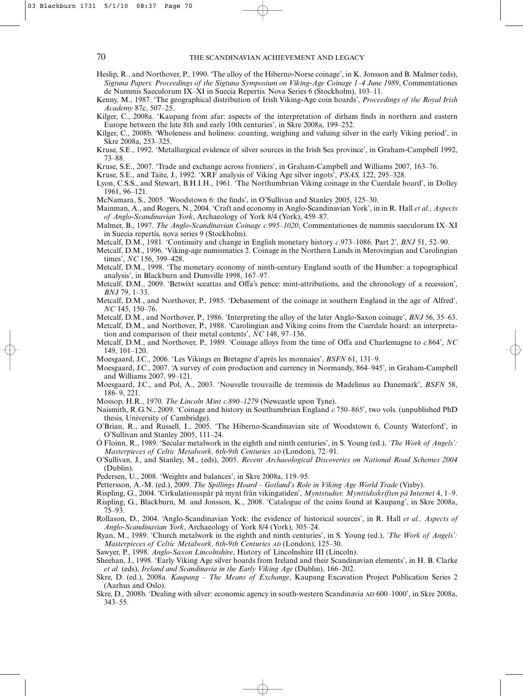Heslip, R., and Northover, P., 1990. 'The alloy of the Hiberno-Norse coinage', in K. Jonsson and B. Malmer (eds), *Sigtuna Papers. Proceedings of the Sigtuna Symposium on Viking-Age Coinage 1–4 June 1989*, Commentationes de Nummis Saeculorum IX–XI in Suecia Repertis. Nova Series 6 (Stockholm), 103–11.

Kenny, M., 1987. 'The geographical distribution of Irish Viking-Age coin hoards', *Proceedings of the Royal Irish Academy* 87c, 507–25.

Kilger, C., 2008a. 'Kaupang from afar: aspects of the interpretation of dirham finds in northern and eastern Europe between the late 8th and early 10th centuries', in Skre 2008a, 199–252.

Kilger, C., 2008b. 'Wholeness and holiness: counting, weighing and valuing silver in the early Viking period', in Skre 2008a, 253–325.

Kruse, S.E., 1992. 'Metallurgical evidence of silver sources in the Irish Sea province', in Graham-Campbell 1992, 73–88.

Kruse, S.E., 2007. 'Trade and exchange across frontiers', in Graham-Campbell and Williams 2007, 163–76.

Kruse, S.E., and Taite, J., 1992. 'XRF analysis of Viking Age silver ingots', *PSAS,* 122, 295–328.

Lyon, C.S.S., and Stewart, B.H.I.H., 1961. 'The Northumbrian Viking coinage in the Cuerdale hoard', in Dolley 1961, 96–121.

McNamara, S., 2005. 'Woodstown 6: the finds', in O'Sullivan and Stanley 2005, 125–30.

Mainman, A., and Rogers, N., 2004. 'Craft and economy in Anglo-Scandinavian York', in in R. Hall *et al., Aspects of Anglo-Scandinavian York*, Archaeology of York 8/4 (York), 459–87.

Malmer, B., 1997. *The Anglo-Scandinavian Coinage c.995–1020*, Commentationes de nummis saeculorum IX–XI in Suecia repertis, nova series 9 (Stockholm).

Metcalf, D.M., 1981. 'Continuity and change in English monetary history *c*.973–1086. Part 2', *BNJ* 51, 52–90.

Metcalf, D.M., 1996. 'Viking-age numismatics 2. Coinage in the Northern Lands in Merovingian and Carolingian times', *NC* 156, 399–428.

Metcalf, D.M., 1998. 'The monetary economy of ninth-century England south of the Humber: a topographical analysis', in Blackburn and Dumville 1998, 167–97.

Metcalf, D.M., 2009. 'Betwixt sceattas and Offa's pence: mint-attributions, and the chronology of a recession', *BNJ* 79, 1–33.

Metcalf, D.M., and Northover, P., 1985. 'Debasement of the coinage in southern England in the age of Alfred', *NC* 145, 150–76.

Metcalf, D.M., and Northover, P., 1986. 'Interpreting the alloy of the later Anglo-Saxon coinage', *BNJ* 56, 35–63. Metcalf, D.M., and Northover, P., 1988. 'Carolingian and Viking coins from the Cuerdale hoard: an interpreta-

tion and comparison of their metal contents', *NC* 148, 97–136. Metcalf, D.M., and Northover, P., 1989. 'Coinage alloys from the time of Offa and Charlemagne to *c.*864', *NC* 149, 101–120.

Moesgaard, J.C., 2006. 'Les Vikings en Bretagne d'après les monnaies', *BSFN* 61, 131–9.

Moesgaard, J.C., 2007. 'A survey of coin production and currency in Normandy, 864–945', in Graham-Campbell and Williams 2007, 99–121.

Moesgaard, J.C., and Pol, A., 2003. 'Nouvelle trouvaille de tremissis de Madelinus au Danemark', *BSFN* 58, 186–9, 221.

Mossop, H.R., 1970. *The Lincoln Mint c.890–1279* (Newcastle upon Tyne).

Naismith, R.G.N., 2009. 'Coinage and history in Southumbrian England *c.*750–865', two vols. (unpublished PhD thesis, University of Cambridge).

O'Brian, R., and Russell, I., 2005. 'The Hiberno-Scandinavian site of Woodstown 6, County Waterford', in O'Sullivan and Stanley 2005, 111–24.

Ó Floinn, R., 1989. 'Secular metalwork in the eighth and ninth centuries', in S. Young (ed.), *'The Work of Angels': Masterpieces of Celtic Metalwork, 6th-9th Centuries AD* (London), 72–91.

O'Sullivan, J., and Stanley, M., (eds), 2005. *Recent Archaeological Discoveries on National Road Schemes 2004* (Dublin).

Pedersen, U., 2008. 'Weights and balances', in Skre 2008a, 119–95.

Pettersson, A.-M. (ed.), 2009. *The Spillings Hoard – Gotland's Role in Viking Age World Trade* (Visby).

Rispling, G., 2004. 'Cirkulationsspår på mynt från vikingatiden', *Myntstudier. Mynttidsskriften på Internet* 4, 1–9.

Rispling, G., Blackburn, M. and Jonsson, K., 2008. 'Catalogue of the coins found at Kaupang', in Skre 2008a, 75–93.

Rollason, D., 2004. 'Anglo-Scandinavian York: the evidence of historical sources', in R. Hall *et al., Aspects of Anglo-Scandinavian York*, Archaeology of York 8/4 (York), 305–24.

Ryan, M., 1989. 'Church metalwork in the eighth and ninth centuries', in S. Young (ed.), *'The Work of Angels': Masterpieces of Celtic Metalwork, 6th-9th Centuries AD* (London), 125–30.

Sawyer, P., 1998. *Anglo-Saxon Lincolnshire*, History of Lincolnshire III (Lincoln).

Sheehan, J., 1998. 'Early Viking Age silver hoards from Ireland and their Scandinavian elements', in H. B. Clarke *et al.* (eds), *Ireland and Scandinavia in the Early Viking Age* (Dublin), 166–202.

Skre, D. (ed.), 2008a. *Kaupang – The Means of Exchange*, Kaupang Excavation Project Publication Series 2 (Aarhus and Oslo).

Skre, D., 2008b. 'Dealing with silver: economic agency in south-western Scandinavia AD 600–1000', in Skre 2008a, 343–55.